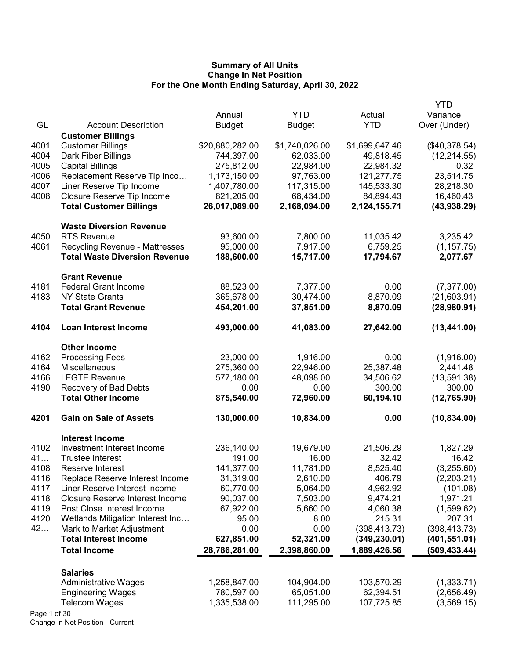|              |                                        |                 |                |                | YTD           |
|--------------|----------------------------------------|-----------------|----------------|----------------|---------------|
|              |                                        | Annual          | <b>YTD</b>     | Actual         | Variance      |
| GL           | <b>Account Description</b>             | <b>Budget</b>   | <b>Budget</b>  | <b>YTD</b>     | Over (Under)  |
|              | <b>Customer Billings</b>               |                 |                |                |               |
| 4001         | <b>Customer Billings</b>               | \$20,880,282.00 | \$1,740,026.00 | \$1,699,647.46 | (\$40,378.54) |
| 4004         | Dark Fiber Billings                    | 744,397.00      | 62,033.00      | 49,818.45      | (12, 214.55)  |
| 4005         | <b>Capital Billings</b>                | 275,812.00      | 22,984.00      | 22,984.32      | 0.32          |
| 4006         | Replacement Reserve Tip Inco           | 1,173,150.00    | 97,763.00      | 121,277.75     | 23,514.75     |
| 4007         | Liner Reserve Tip Income               | 1,407,780.00    | 117,315.00     | 145,533.30     | 28,218.30     |
| 4008         | Closure Reserve Tip Income             | 821,205.00      | 68,434.00      | 84,894.43      | 16,460.43     |
|              | <b>Total Customer Billings</b>         | 26,017,089.00   | 2,168,094.00   | 2,124,155.71   | (43,938.29)   |
|              | <b>Waste Diversion Revenue</b>         |                 |                |                |               |
| 4050         | <b>RTS Revenue</b>                     | 93,600.00       | 7,800.00       | 11,035.42      | 3,235.42      |
| 4061         | <b>Recycling Revenue - Mattresses</b>  | 95,000.00       | 7,917.00       | 6,759.25       | (1, 157.75)   |
|              | <b>Total Waste Diversion Revenue</b>   | 188,600.00      | 15,717.00      | 17,794.67      | 2,077.67      |
|              | <b>Grant Revenue</b>                   |                 |                |                |               |
| 4181         | <b>Federal Grant Income</b>            | 88,523.00       | 7,377.00       | 0.00           | (7, 377.00)   |
| 4183         | <b>NY State Grants</b>                 | 365,678.00      | 30,474.00      | 8,870.09       | (21,603.91)   |
|              | <b>Total Grant Revenue</b>             | 454,201.00      | 37,851.00      | 8,870.09       | (28,980.91)   |
| 4104         | <b>Loan Interest Income</b>            | 493,000.00      | 41,083.00      | 27,642.00      | (13, 441.00)  |
|              | <b>Other Income</b>                    |                 |                |                |               |
| 4162         | <b>Processing Fees</b>                 | 23,000.00       | 1,916.00       | 0.00           | (1,916.00)    |
| 4164         | Miscellaneous                          | 275,360.00      | 22,946.00      | 25,387.48      | 2,441.48      |
| 4166         | <b>LFGTE Revenue</b>                   | 577,180.00      | 48,098.00      | 34,506.62      | (13,591.38)   |
| 4190         | Recovery of Bad Debts                  | 0.00            | 0.00           | 300.00         | 300.00        |
|              | <b>Total Other Income</b>              | 875,540.00      | 72,960.00      | 60,194.10      | (12, 765.90)  |
| 4201         | <b>Gain on Sale of Assets</b>          | 130,000.00      | 10,834.00      | 0.00           | (10, 834.00)  |
|              | <b>Interest Income</b>                 |                 |                |                |               |
| 4102         | Investment Interest Income             | 236,140.00      | 19,679.00      | 21,506.29      | 1,827.29      |
| 41           | <b>Trustee Interest</b>                | 191.00          | 16.00          | 32.42          | 16.42         |
| 4108         | Reserve Interest                       | 141,377.00      | 11,781.00      | 8,525.40       | (3,255.60)    |
| 4116         | Replace Reserve Interest Income        | 31,319.00       | 2,610.00       | 406.79         | (2,203.21)    |
| 4117         | Liner Reserve Interest Income          | 60,770.00       | 5,064.00       | 4,962.92       | (101.08)      |
| 4118         | <b>Closure Reserve Interest Income</b> | 90,037.00       | 7,503.00       | 9,474.21       | 1,971.21      |
| 4119         | Post Close Interest Income             | 67,922.00       | 5,660.00       | 4,060.38       | (1,599.62)    |
| 4120         | Wetlands Mitigation Interest Inc       | 95.00           | 8.00           | 215.31         | 207.31        |
| 42           | Mark to Market Adjustment              | 0.00            | 0.00           | (398, 413.73)  | (398, 413.73) |
|              | <b>Total Interest Income</b>           | 627,851.00      | 52,321.00      | (349,230.01)   | (401,551.01)  |
|              | <b>Total Income</b>                    | 28,786,281.00   | 2,398,860.00   | 1,889,426.56   | (509, 433.44) |
|              | <b>Salaries</b>                        |                 |                |                |               |
|              | <b>Administrative Wages</b>            | 1,258,847.00    | 104,904.00     | 103,570.29     | (1,333.71)    |
|              | <b>Engineering Wages</b>               | 780,597.00      | 65,051.00      | 62,394.51      | (2,656.49)    |
|              | <b>Telecom Wages</b>                   | 1,335,538.00    | 111,295.00     | 107,725.85     | (3, 569.15)   |
| Page 1 of 30 |                                        |                 |                |                |               |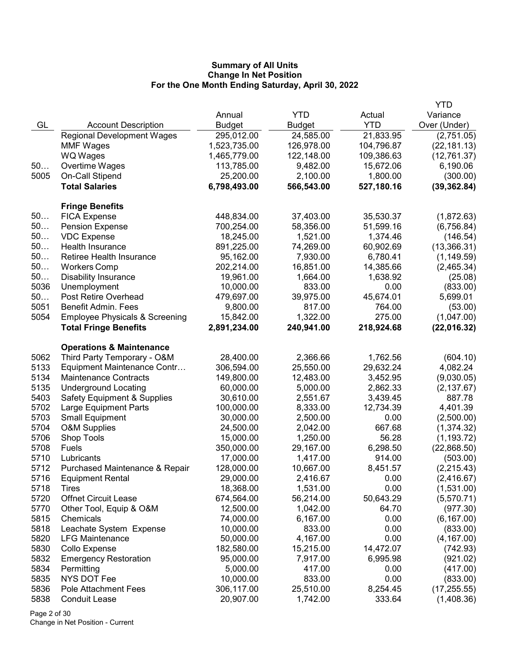|      |                                           |               |               |            | <b>YTD</b>   |
|------|-------------------------------------------|---------------|---------------|------------|--------------|
|      |                                           | Annual        | <b>YTD</b>    | Actual     | Variance     |
| GL   | <b>Account Description</b>                | <b>Budget</b> | <b>Budget</b> | <b>YTD</b> | Over (Under) |
|      | <b>Regional Development Wages</b>         | 295,012.00    | 24,585.00     | 21,833.95  | (2,751.05)   |
|      | <b>MMF Wages</b>                          | 1,523,735.00  | 126,978.00    | 104,796.87 | (22, 181.13) |
|      | <b>WQ Wages</b>                           | 1,465,779.00  | 122,148.00    | 109,386.63 | (12, 761.37) |
| 50   | Overtime Wages                            | 113,785.00    | 9,482.00      | 15,672.06  | 6,190.06     |
| 5005 | On-Call Stipend                           | 25,200.00     | 2,100.00      | 1,800.00   | (300.00)     |
|      | <b>Total Salaries</b>                     | 6,798,493.00  | 566,543.00    | 527,180.16 | (39, 362.84) |
|      | <b>Fringe Benefits</b>                    |               |               |            |              |
| 50   | <b>FICA Expense</b>                       | 448,834.00    | 37,403.00     | 35,530.37  | (1,872.63)   |
| 50   | <b>Pension Expense</b>                    | 700,254.00    | 58,356.00     | 51,599.16  | (6,756.84)   |
| 50   | <b>VDC Expense</b>                        | 18,245.00     | 1,521.00      | 1,374.46   | (146.54)     |
| 50   | Health Insurance                          | 891,225.00    | 74,269.00     | 60,902.69  | (13,366.31)  |
| 50   | Retiree Health Insurance                  | 95,162.00     | 7,930.00      | 6,780.41   | (1, 149.59)  |
| 50   | <b>Workers Comp</b>                       | 202,214.00    | 16,851.00     | 14,385.66  | (2,465.34)   |
| 50   | <b>Disability Insurance</b>               | 19,961.00     | 1,664.00      | 1,638.92   | (25.08)      |
| 5036 | Unemployment                              | 10,000.00     | 833.00        | 0.00       | (833.00)     |
| 50   | Post Retire Overhead                      | 479,697.00    | 39,975.00     | 45,674.01  | 5,699.01     |
| 5051 | <b>Benefit Admin. Fees</b>                | 9,800.00      | 817.00        | 764.00     | (53.00)      |
| 5054 | <b>Employee Physicals &amp; Screening</b> | 15,842.00     | 1,322.00      | 275.00     | (1,047.00)   |
|      | <b>Total Fringe Benefits</b>              | 2,891,234.00  | 240,941.00    | 218,924.68 | (22,016.32)  |
|      | <b>Operations &amp; Maintenance</b>       |               |               |            |              |
| 5062 | Third Party Temporary - O&M               | 28,400.00     | 2,366.66      | 1,762.56   | (604.10)     |
| 5133 | Equipment Maintenance Contr               | 306,594.00    | 25,550.00     | 29,632.24  | 4,082.24     |
| 5134 | <b>Maintenance Contracts</b>              | 149,800.00    | 12,483.00     | 3,452.95   | (9,030.05)   |
| 5135 | <b>Underground Locating</b>               | 60,000.00     | 5,000.00      | 2,862.33   | (2, 137.67)  |
| 5403 | <b>Safety Equipment &amp; Supplies</b>    | 30,610.00     | 2,551.67      | 3,439.45   | 887.78       |
| 5702 | Large Equipment Parts                     | 100,000.00    | 8,333.00      | 12,734.39  | 4,401.39     |
| 5703 | <b>Small Equipment</b>                    | 30,000.00     | 2,500.00      | 0.00       | (2,500.00)   |
| 5704 | <b>O&amp;M Supplies</b>                   | 24,500.00     | 2,042.00      | 667.68     | (1,374.32)   |
| 5706 | Shop Tools                                | 15,000.00     | 1,250.00      | 56.28      | (1, 193.72)  |
| 5708 | Fuels                                     | 350,000.00    | 29,167.00     | 6,298.50   | (22,868.50)  |
| 5710 | Lubricants                                | 17,000.00     | 1,417.00      | 914.00     | (503.00)     |
| 5712 | Purchased Maintenance & Repair            | 128,000.00    | 10,667.00     | 8,451.57   | (2,215.43)   |
| 5716 | <b>Equipment Rental</b>                   | 29,000.00     | 2,416.67      | 0.00       | (2, 416.67)  |
| 5718 | Tires                                     | 18,368.00     | 1,531.00      | 0.00       | (1,531.00)   |
| 5720 | <b>Offnet Circuit Lease</b>               | 674,564.00    | 56,214.00     | 50,643.29  | (5,570.71)   |
| 5770 | Other Tool, Equip & O&M                   | 12,500.00     | 1,042.00      | 64.70      | (977.30)     |
| 5815 | Chemicals                                 | 74,000.00     | 6,167.00      | 0.00       | (6, 167.00)  |
| 5818 | Leachate System Expense                   | 10,000.00     | 833.00        | 0.00       | (833.00)     |
| 5820 | <b>LFG Maintenance</b>                    | 50,000.00     | 4,167.00      | 0.00       | (4, 167.00)  |
| 5830 | Collo Expense                             | 182,580.00    | 15,215.00     | 14,472.07  | (742.93)     |
| 5832 | <b>Emergency Restoration</b>              | 95,000.00     | 7,917.00      | 6,995.98   | (921.02)     |
| 5834 | Permitting                                | 5,000.00      | 417.00        | 0.00       | (417.00)     |
| 5835 | NYS DOT Fee                               | 10,000.00     | 833.00        | 0.00       | (833.00)     |
| 5836 | <b>Pole Attachment Fees</b>               | 306,117.00    | 25,510.00     | 8,254.45   | (17, 255.55) |
| 5838 | <b>Conduit Lease</b>                      | 20,907.00     | 1,742.00      | 333.64     | (1,408.36)   |

Page 2 of 30 Change in Net Position - Current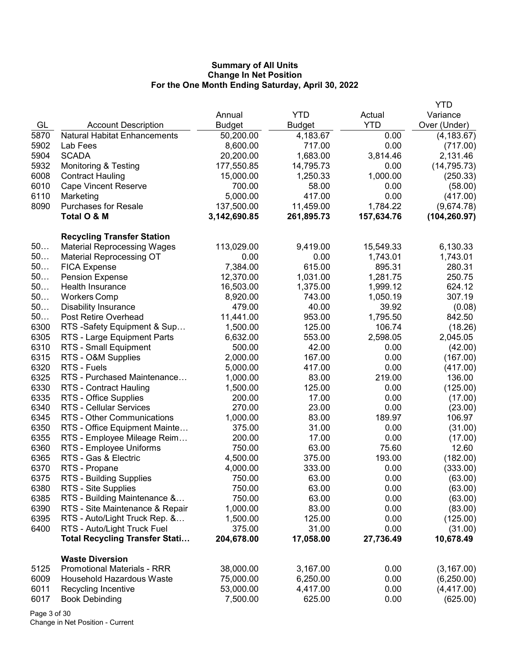|      |                                       |               |               |            | YTD           |
|------|---------------------------------------|---------------|---------------|------------|---------------|
|      |                                       | Annual        | <b>YTD</b>    | Actual     | Variance      |
| GL   | <b>Account Description</b>            | <b>Budget</b> | <b>Budget</b> | <b>YTD</b> | Over (Under)  |
| 5870 | <b>Natural Habitat Enhancements</b>   | 50,200.00     | 4,183.67      | 0.00       | (4, 183.67)   |
| 5902 | Lab Fees                              | 8,600.00      | 717.00        | 0.00       | (717.00)      |
| 5904 | <b>SCADA</b>                          | 20,200.00     | 1,683.00      | 3,814.46   | 2,131.46      |
| 5932 | <b>Monitoring &amp; Testing</b>       | 177,550.85    | 14,795.73     | 0.00       | (14, 795.73)  |
| 6008 | <b>Contract Hauling</b>               | 15,000.00     | 1,250.33      | 1,000.00   | (250.33)      |
| 6010 | <b>Cape Vincent Reserve</b>           | 700.00        | 58.00         | 0.00       | (58.00)       |
| 6110 | Marketing                             | 5,000.00      | 417.00        | 0.00       | (417.00)      |
| 8090 | <b>Purchases for Resale</b>           | 137,500.00    | 11,459.00     | 1,784.22   | (9,674.78)    |
|      | Total O & M                           | 3,142,690.85  | 261,895.73    | 157,634.76 | (104, 260.97) |
|      | <b>Recycling Transfer Station</b>     |               |               |            |               |
| 50   | <b>Material Reprocessing Wages</b>    | 113,029.00    | 9,419.00      | 15,549.33  | 6,130.33      |
| 50   | <b>Material Reprocessing OT</b>       | 0.00          | 0.00          | 1,743.01   | 1,743.01      |
| 50   | <b>FICA Expense</b>                   | 7,384.00      | 615.00        | 895.31     | 280.31        |
| 50   | <b>Pension Expense</b>                | 12,370.00     | 1,031.00      | 1,281.75   | 250.75        |
| 50   | <b>Health Insurance</b>               | 16,503.00     | 1,375.00      | 1,999.12   | 624.12        |
| 50   | <b>Workers Comp</b>                   | 8,920.00      | 743.00        | 1,050.19   | 307.19        |
| 50   | <b>Disability Insurance</b>           | 479.00        | 40.00         | 39.92      | (0.08)        |
| 50   | Post Retire Overhead                  | 11,441.00     | 953.00        | 1,795.50   | 842.50        |
| 6300 | RTS -Safety Equipment & Sup           | 1,500.00      | 125.00        | 106.74     | (18.26)       |
| 6305 | RTS - Large Equipment Parts           | 6,632.00      | 553.00        | 2,598.05   | 2,045.05      |
| 6310 | RTS - Small Equipment                 | 500.00        | 42.00         | 0.00       | (42.00)       |
| 6315 | RTS - O&M Supplies                    | 2,000.00      | 167.00        | 0.00       | (167.00)      |
| 6320 | RTS - Fuels                           | 5,000.00      | 417.00        | 0.00       | (417.00)      |
| 6325 | RTS - Purchased Maintenance           | 1,000.00      | 83.00         | 219.00     | 136.00        |
| 6330 | RTS - Contract Hauling                | 1,500.00      | 125.00        | 0.00       | (125.00)      |
| 6335 | RTS - Office Supplies                 | 200.00        | 17.00         | 0.00       | (17.00)       |
| 6340 | <b>RTS - Cellular Services</b>        | 270.00        | 23.00         | 0.00       | (23.00)       |
| 6345 | RTS - Other Communications            | 1,000.00      | 83.00         | 189.97     | 106.97        |
| 6350 | RTS - Office Equipment Mainte         | 375.00        | 31.00         | 0.00       | (31.00)       |
| 6355 | RTS - Employee Mileage Reim           | 200.00        | 17.00         | 0.00       | (17.00)       |
| 6360 | RTS - Employee Uniforms               | 750.00        | 63.00         | 75.60      | 12.60         |
| 6365 | RTS - Gas & Electric                  | 4,500.00      | 375.00        | 193.00     | (182.00)      |
| 6370 | RTS - Propane                         | 4,000.00      | 333.00        | 0.00       | (333.00)      |
| 6375 | RTS - Building Supplies               | 750.00        | 63.00         | 0.00       | (63.00)       |
| 6380 | RTS - Site Supplies                   | 750.00        | 63.00         | 0.00       | (63.00)       |
| 6385 | RTS - Building Maintenance &          | 750.00        | 63.00         | 0.00       | (63.00)       |
| 6390 | RTS - Site Maintenance & Repair       | 1,000.00      | 83.00         | 0.00       | (83.00)       |
| 6395 | RTS - Auto/Light Truck Rep. &         | 1,500.00      | 125.00        | 0.00       | (125.00)      |
| 6400 | RTS - Auto/Light Truck Fuel           | 375.00        | 31.00         | 0.00       | (31.00)       |
|      | <b>Total Recycling Transfer Stati</b> | 204,678.00    | 17,058.00     | 27,736.49  | 10,678.49     |
|      | <b>Waste Diversion</b>                |               |               |            |               |
| 5125 | <b>Promotional Materials - RRR</b>    | 38,000.00     | 3,167.00      | 0.00       | (3, 167.00)   |
| 6009 | Household Hazardous Waste             | 75,000.00     | 6,250.00      | 0.00       | (6,250.00)    |
| 6011 | Recycling Incentive                   | 53,000.00     | 4,417.00      | 0.00       | (4, 417.00)   |
| 6017 | <b>Book Debinding</b>                 | 7,500.00      | 625.00        | 0.00       | (625.00)      |

Page 3 of 30 Change in Net Position - Current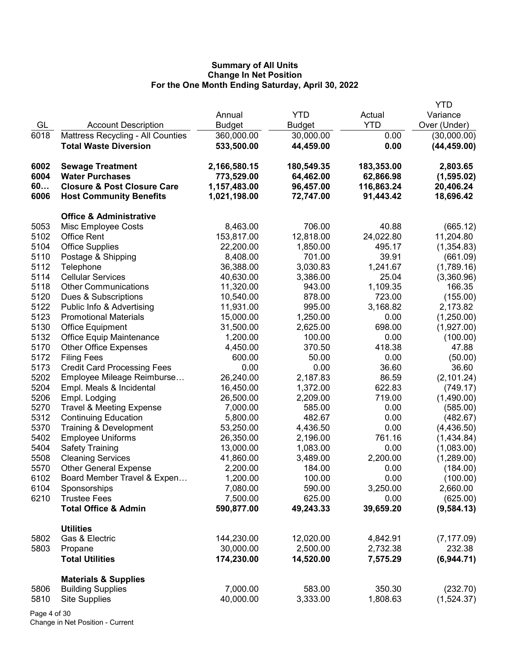|      |                                        |               |            |            | <b>YTD</b>   |
|------|----------------------------------------|---------------|------------|------------|--------------|
|      |                                        | Annual        | <b>YTD</b> | Actual     | Variance     |
| GL   | <b>Account Description</b>             | <b>Budget</b> | Budget     | <b>YTD</b> | Over (Under) |
| 6018 | Mattress Recycling - All Counties      | 360,000.00    | 30,000.00  | 0.00       | (30,000.00)  |
|      | <b>Total Waste Diversion</b>           | 533,500.00    | 44,459.00  | 0.00       | (44, 459.00) |
| 6002 | <b>Sewage Treatment</b>                | 2,166,580.15  | 180,549.35 | 183,353.00 | 2,803.65     |
| 6004 | <b>Water Purchases</b>                 | 773,529.00    | 64,462.00  | 62,866.98  | (1, 595.02)  |
| 60   | <b>Closure &amp; Post Closure Care</b> | 1,157,483.00  | 96,457.00  | 116,863.24 | 20,406.24    |
| 6006 | <b>Host Community Benefits</b>         | 1,021,198.00  | 72,747.00  | 91,443.42  | 18,696.42    |
|      | <b>Office &amp; Administrative</b>     |               |            |            |              |
| 5053 | Misc Employee Costs                    | 8,463.00      | 706.00     | 40.88      | (665.12)     |
| 5102 | <b>Office Rent</b>                     | 153,817.00    | 12,818.00  | 24,022.80  | 11,204.80    |
| 5104 | <b>Office Supplies</b>                 | 22,200.00     | 1,850.00   | 495.17     | (1,354.83)   |
| 5110 | Postage & Shipping                     | 8,408.00      | 701.00     | 39.91      | (661.09)     |
| 5112 | Telephone                              | 36,388.00     | 3,030.83   | 1,241.67   | (1,789.16)   |
| 5114 | <b>Cellular Services</b>               | 40,630.00     | 3,386.00   | 25.04      | (3,360.96)   |
| 5118 | <b>Other Communications</b>            | 11,320.00     | 943.00     | 1,109.35   | 166.35       |
| 5120 | Dues & Subscriptions                   | 10,540.00     | 878.00     | 723.00     | (155.00)     |
| 5122 | Public Info & Advertising              | 11,931.00     | 995.00     | 3,168.82   | 2,173.82     |
| 5123 | <b>Promotional Materials</b>           | 15,000.00     | 1,250.00   | 0.00       | (1,250.00)   |
| 5130 | <b>Office Equipment</b>                | 31,500.00     | 2,625.00   | 698.00     | (1,927.00)   |
| 5132 | <b>Office Equip Maintenance</b>        | 1,200.00      | 100.00     | 0.00       | (100.00)     |
| 5170 | <b>Other Office Expenses</b>           | 4,450.00      | 370.50     | 418.38     | 47.88        |
| 5172 | <b>Filing Fees</b>                     | 600.00        | 50.00      | 0.00       | (50.00)      |
| 5173 | <b>Credit Card Processing Fees</b>     | 0.00          | 0.00       | 36.60      | 36.60        |
| 5202 | Employee Mileage Reimburse             | 26,240.00     | 2,187.83   | 86.59      | (2, 101.24)  |
| 5204 | Empl. Meals & Incidental               | 16,450.00     | 1,372.00   | 622.83     | (749.17)     |
| 5206 | Empl. Lodging                          | 26,500.00     | 2,209.00   | 719.00     | (1,490.00)   |
| 5270 | <b>Travel &amp; Meeting Expense</b>    | 7,000.00      | 585.00     | 0.00       | (585.00)     |
| 5312 | <b>Continuing Education</b>            | 5,800.00      | 482.67     | 0.00       | (482.67)     |
| 5370 | Training & Development                 | 53,250.00     | 4,436.50   | 0.00       | (4,436.50)   |
| 5402 | <b>Employee Uniforms</b>               | 26,350.00     | 2,196.00   | 761.16     | (1,434.84)   |
| 5404 | <b>Safety Training</b>                 | 13,000.00     | 1,083.00   | 0.00       | (1,083.00)   |
| 5508 | <b>Cleaning Services</b>               | 41,860.00     | 3,489.00   | 2,200.00   | (1,289.00)   |
| 5570 | <b>Other General Expense</b>           | 2,200.00      | 184.00     | 0.00       | (184.00)     |
| 6102 | Board Member Travel & Expen            | 1,200.00      | 100.00     | 0.00       | (100.00)     |
| 6104 | Sponsorships                           | 7,080.00      | 590.00     | 3,250.00   | 2,660.00     |
| 6210 | <b>Trustee Fees</b>                    | 7,500.00      | 625.00     | 0.00       | (625.00)     |
|      | <b>Total Office &amp; Admin</b>        | 590,877.00    | 49,243.33  | 39,659.20  | (9,584.13)   |
|      | <b>Utilities</b>                       |               |            |            |              |
| 5802 | Gas & Electric                         | 144,230.00    | 12,020.00  | 4,842.91   | (7, 177.09)  |
| 5803 | Propane                                | 30,000.00     | 2,500.00   | 2,732.38   | 232.38       |
|      | <b>Total Utilities</b>                 | 174,230.00    | 14,520.00  | 7,575.29   | (6,944.71)   |
|      | <b>Materials &amp; Supplies</b>        |               |            |            |              |
| 5806 | <b>Building Supplies</b>               | 7,000.00      | 583.00     | 350.30     | (232.70)     |
| 5810 | <b>Site Supplies</b>                   | 40,000.00     | 3,333.00   | 1,808.63   | (1,524.37)   |
|      |                                        |               |            |            |              |

Page 4 of 30 Change in Net Position - Current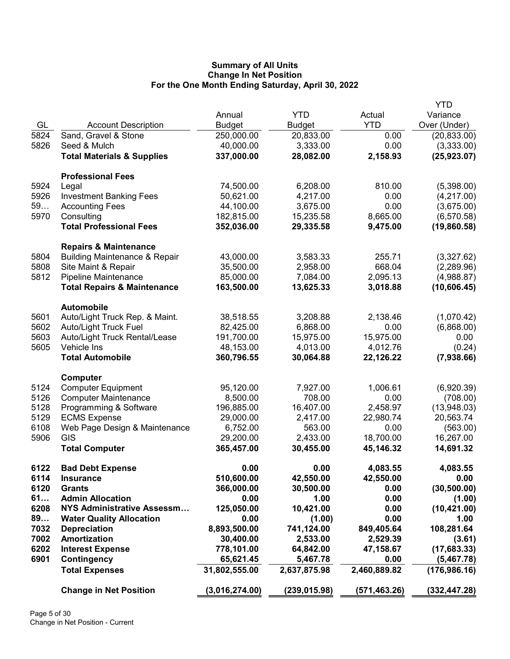|      |                                                     |                |               |              | <b>YTD</b>    |
|------|-----------------------------------------------------|----------------|---------------|--------------|---------------|
|      |                                                     | Annual         | <b>YTD</b>    | Actual       | Variance      |
| GL   | <b>Account Description</b>                          | <b>Budget</b>  | <b>Budget</b> | <b>YTD</b>   | Over (Under)  |
| 5824 | Sand, Gravel & Stone                                | 250,000.00     | 20,833.00     | 0.00         | (20, 833.00)  |
| 5826 | Seed & Mulch                                        | 40,000.00      | 3,333.00      | 0.00         | (3,333.00)    |
|      | <b>Total Materials &amp; Supplies</b>               | 337,000.00     | 28,082.00     | 2,158.93     | (25, 923.07)  |
|      |                                                     |                |               |              |               |
|      | <b>Professional Fees</b>                            |                |               |              |               |
| 5924 | Legal                                               | 74,500.00      | 6,208.00      | 810.00       | (5,398.00)    |
| 5926 | <b>Investment Banking Fees</b>                      | 50,621.00      | 4,217.00      | 0.00         | (4,217.00)    |
| 59   | <b>Accounting Fees</b>                              | 44,100.00      | 3,675.00      | 0.00         | (3,675.00)    |
| 5970 | Consulting                                          | 182,815.00     | 15,235.58     | 8,665.00     | (6, 570.58)   |
|      | <b>Total Professional Fees</b>                      | 352,036.00     | 29,335.58     | 9,475.00     | (19,860.58)   |
|      | <b>Repairs &amp; Maintenance</b>                    |                |               |              |               |
| 5804 | <b>Building Maintenance &amp; Repair</b>            | 43,000.00      | 3,583.33      | 255.71       | (3,327.62)    |
| 5808 | Site Maint & Repair                                 | 35,500.00      | 2,958.00      | 668.04       | (2,289.96)    |
| 5812 | Pipeline Maintenance                                | 85,000.00      | 7,084.00      | 2,095.13     | (4,988.87)    |
|      | <b>Total Repairs &amp; Maintenance</b>              | 163,500.00     | 13,625.33     | 3,018.88     | (10,606.45)   |
|      |                                                     |                |               |              |               |
| 5601 | <b>Automobile</b><br>Auto/Light Truck Rep. & Maint. | 38,518.55      | 3,208.88      | 2,138.46     | (1,070.42)    |
| 5602 | Auto/Light Truck Fuel                               | 82,425.00      | 6,868.00      | 0.00         | (6,868.00)    |
| 5603 | Auto/Light Truck Rental/Lease                       | 191,700.00     | 15,975.00     | 15,975.00    | 0.00          |
| 5605 | Vehicle Ins                                         | 48,153.00      | 4,013.00      | 4,012.76     | (0.24)        |
|      | <b>Total Automobile</b>                             | 360,796.55     | 30,064.88     | 22,126.22    | (7,938.66)    |
|      |                                                     |                |               |              |               |
|      | Computer                                            |                |               |              |               |
| 5124 | <b>Computer Equipment</b>                           | 95,120.00      | 7,927.00      | 1,006.61     | (6,920.39)    |
| 5126 | <b>Computer Maintenance</b>                         | 8,500.00       | 708.00        | 0.00         | (708.00)      |
| 5128 | Programming & Software                              | 196,885.00     | 16,407.00     | 2,458.97     | (13,948.03)   |
| 5129 | <b>ECMS Expense</b>                                 | 29,000.00      | 2,417.00      | 22,980.74    | 20,563.74     |
| 6108 | Web Page Design & Maintenance                       | 6,752.00       | 563.00        | 0.00         | (563.00)      |
| 5906 | GIS                                                 | 29,200.00      | 2,433.00      | 18,700.00    | 16,267.00     |
|      | <b>Total Computer</b>                               | 365,457.00     | 30,455.00     | 45,146.32    | 14,691.32     |
| 6122 | <b>Bad Debt Expense</b>                             | 0.00           | 0.00          | 4,083.55     | 4,083.55      |
| 6114 | <b>Insurance</b>                                    | 510,600.00     | 42,550.00     | 42,550.00    | 0.00          |
| 6120 | <b>Grants</b>                                       | 366,000.00     | 30,500.00     | 0.00         | (30, 500.00)  |
| 61   | <b>Admin Allocation</b>                             | 0.00           | 1.00          | 0.00         | (1.00)        |
| 6208 | <b>NYS Administrative Assessm</b>                   | 125,050.00     | 10,421.00     | 0.00         | (10, 421.00)  |
| 89   | <b>Water Quality Allocation</b>                     | 0.00           | (1.00)        | 0.00         | 1.00          |
| 7032 | <b>Depreciation</b>                                 | 8,893,500.00   | 741,124.00    | 849,405.64   | 108,281.64    |
| 7002 | <b>Amortization</b>                                 | 30,400.00      | 2,533.00      | 2,529.39     | (3.61)        |
| 6202 | <b>Interest Expense</b>                             | 778,101.00     | 64,842.00     | 47,158.67    | (17,683.33)   |
| 6901 | <b>Contingency</b>                                  | 65,621.45      | 5,467.78      | 0.00         | (5,467.78)    |
|      | <b>Total Expenses</b>                               | 31,802,555.00  | 2,637,875.98  | 2,460,889.82 | (176, 986.16) |
|      | <b>Change in Net Position</b>                       | (3,016,274.00) | (239,015.98)  | (571,463.26) | (332, 447.28) |
|      |                                                     |                |               |              |               |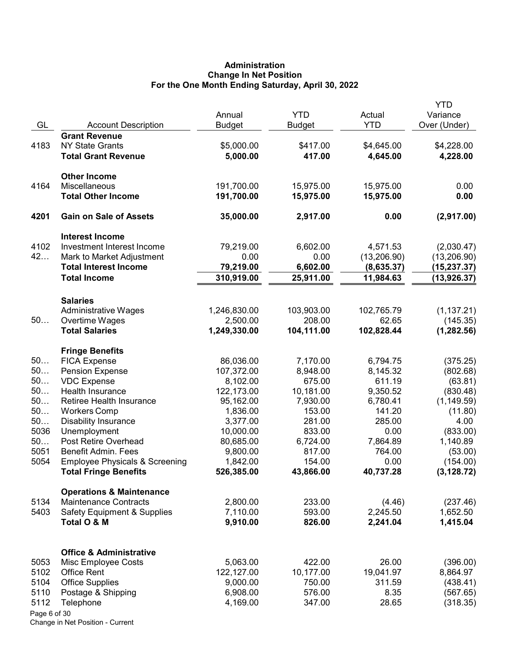# Administration Change In Net Position For the One Month Ending Saturday, April 30, 2022

| GL           | <b>Account Description</b>                   | Annual<br><b>Budget</b> | <b>YTD</b><br>Budget  | Actual<br><b>YTD</b> | <b>YTD</b><br>Variance<br>Over (Under) |
|--------------|----------------------------------------------|-------------------------|-----------------------|----------------------|----------------------------------------|
|              | <b>Grant Revenue</b>                         |                         |                       |                      |                                        |
| 4183         | <b>NY State Grants</b>                       | \$5,000.00              | \$417.00              | \$4,645.00           | \$4,228.00                             |
|              | <b>Total Grant Revenue</b>                   | 5,000.00                | 417.00                | 4,645.00             | 4,228.00                               |
|              | <b>Other Income</b>                          |                         |                       |                      |                                        |
| 4164         | Miscellaneous                                | 191,700.00              | 15,975.00             | 15,975.00            | 0.00                                   |
|              | <b>Total Other Income</b>                    | 191,700.00              | 15,975.00             | 15,975.00            | 0.00                                   |
| 4201         | <b>Gain on Sale of Assets</b>                | 35,000.00               | 2,917.00              | 0.00                 | (2,917.00)                             |
|              | <b>Interest Income</b>                       |                         |                       |                      |                                        |
| 4102         | Investment Interest Income                   | 79,219.00               | 6,602.00              | 4,571.53             | (2,030.47)                             |
| 42           | Mark to Market Adjustment                    | 0.00                    | 0.00                  | (13, 206.90)         | (13, 206.90)                           |
|              | <b>Total Interest Income</b>                 | 79,219.00               | 6,602.00              | (8,635.37)           | (15,237.37)                            |
|              | <b>Total Income</b>                          | 310,919.00              | 25,911.00             | 11,984.63            | (13, 926.37)                           |
|              | <b>Salaries</b>                              |                         |                       |                      |                                        |
|              | <b>Administrative Wages</b>                  | 1,246,830.00            | 103,903.00            | 102,765.79           | (1, 137.21)                            |
| 50           | Overtime Wages                               | 2,500.00                | 208.00                | 62.65                | (145.35)                               |
|              | <b>Total Salaries</b>                        | 1,249,330.00            | 104,111.00            | 102,828.44           | (1, 282.56)                            |
|              | <b>Fringe Benefits</b>                       |                         |                       |                      |                                        |
| 50           | <b>FICA Expense</b>                          | 86,036.00               | 7,170.00              | 6,794.75             | (375.25)                               |
| 50           | <b>Pension Expense</b>                       | 107,372.00              | 8,948.00              | 8,145.32             | (802.68)                               |
| 50<br>50     | <b>VDC Expense</b>                           | 8,102.00                | 675.00                | 611.19               | (63.81)                                |
| 50           | Health Insurance<br>Retiree Health Insurance | 122,173.00<br>95,162.00 | 10,181.00<br>7,930.00 | 9,350.52             | (830.48)                               |
| 50           | <b>Workers Comp</b>                          | 1,836.00                | 153.00                | 6,780.41<br>141.20   | (1, 149.59)                            |
| 50           | <b>Disability Insurance</b>                  | 3,377.00                | 281.00                | 285.00               | (11.80)<br>4.00                        |
| 5036         | Unemployment                                 | 10,000.00               | 833.00                | 0.00                 | (833.00)                               |
| 50           | Post Retire Overhead                         | 80,685.00               | 6,724.00              | 7,864.89             | 1,140.89                               |
| 5051         | <b>Benefit Admin. Fees</b>                   | 9,800.00                | 817.00                | 764.00               | (53.00)                                |
| 5054         | <b>Employee Physicals &amp; Screening</b>    | 1,842.00                | 154.00                | 0.00                 | (154.00)                               |
|              | <b>Total Fringe Benefits</b>                 | 526,385.00              | 43,866.00             | 40,737.28            | (3, 128.72)                            |
|              | <b>Operations &amp; Maintenance</b>          |                         |                       |                      |                                        |
| 5134         | <b>Maintenance Contracts</b>                 | 2,800.00                | 233.00                | (4.46)               | (237.46)                               |
| 5403         | <b>Safety Equipment &amp; Supplies</b>       | 7,110.00                | 593.00                | 2,245.50             | 1,652.50                               |
|              | Total O & M                                  | 9,910.00                | 826.00                | 2,241.04             | 1,415.04                               |
|              | <b>Office &amp; Administrative</b>           |                         |                       |                      |                                        |
| 5053         | Misc Employee Costs                          | 5,063.00                | 422.00                | 26.00                | (396.00)                               |
| 5102         | <b>Office Rent</b>                           | 122,127.00              | 10,177.00             | 19,041.97            | 8,864.97                               |
| 5104         | <b>Office Supplies</b>                       | 9,000.00                | 750.00                | 311.59               | (438.41)                               |
| 5110         | Postage & Shipping                           | 6,908.00                | 576.00                | 8.35                 | (567.65)                               |
| 5112         | Telephone                                    | 4,169.00                | 347.00                | 28.65                | (318.35)                               |
| Page 6 of 30 |                                              |                         |                       |                      |                                        |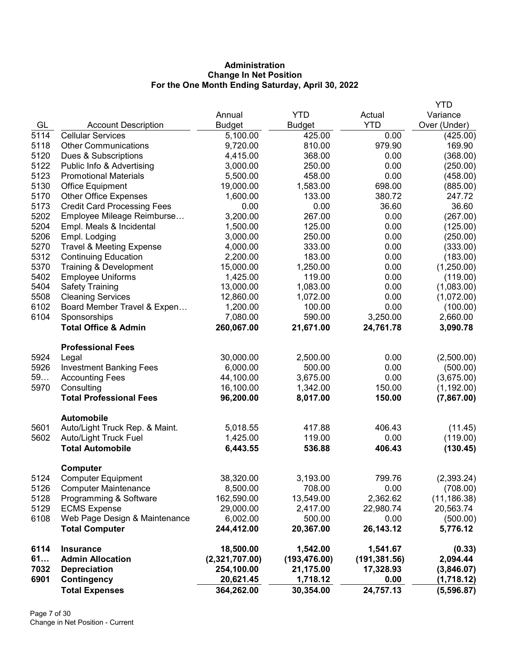# Administration Change In Net Position For the One Month Ending Saturday, April 30, 2022

|      |                                     |                |               |               | <b>YTD</b>   |
|------|-------------------------------------|----------------|---------------|---------------|--------------|
|      |                                     | Annual         | <b>YTD</b>    | Actual        | Variance     |
| GL   | <b>Account Description</b>          | <b>Budget</b>  | <b>Budget</b> | <b>YTD</b>    | Over (Under) |
| 5114 | <b>Cellular Services</b>            | 5,100.00       | 425.00        | 0.00          | (425.00)     |
| 5118 | <b>Other Communications</b>         | 9,720.00       | 810.00        | 979.90        | 169.90       |
| 5120 | Dues & Subscriptions                | 4,415.00       | 368.00        | 0.00          | (368.00)     |
| 5122 | Public Info & Advertising           | 3,000.00       | 250.00        | 0.00          | (250.00)     |
| 5123 | <b>Promotional Materials</b>        | 5,500.00       | 458.00        | 0.00          | (458.00)     |
| 5130 | Office Equipment                    | 19,000.00      | 1,583.00      | 698.00        | (885.00)     |
| 5170 | <b>Other Office Expenses</b>        | 1,600.00       | 133.00        | 380.72        | 247.72       |
| 5173 | <b>Credit Card Processing Fees</b>  | 0.00           | 0.00          | 36.60         | 36.60        |
| 5202 | Employee Mileage Reimburse          | 3,200.00       | 267.00        | 0.00          | (267.00)     |
| 5204 | Empl. Meals & Incidental            | 1,500.00       | 125.00        | 0.00          | (125.00)     |
| 5206 | Empl. Lodging                       | 3,000.00       | 250.00        | 0.00          | (250.00)     |
| 5270 | <b>Travel &amp; Meeting Expense</b> | 4,000.00       | 333.00        | 0.00          | (333.00)     |
| 5312 | <b>Continuing Education</b>         | 2,200.00       | 183.00        | 0.00          | (183.00)     |
| 5370 | Training & Development              | 15,000.00      | 1,250.00      | 0.00          | (1,250.00)   |
| 5402 | <b>Employee Uniforms</b>            | 1,425.00       | 119.00        | 0.00          | (119.00)     |
| 5404 | <b>Safety Training</b>              | 13,000.00      | 1,083.00      | 0.00          | (1,083.00)   |
| 5508 | <b>Cleaning Services</b>            | 12,860.00      | 1,072.00      | 0.00          | (1,072.00)   |
| 6102 | Board Member Travel & Expen         | 1,200.00       | 100.00        | 0.00          | (100.00)     |
| 6104 | Sponsorships                        | 7,080.00       | 590.00        | 3,250.00      | 2,660.00     |
|      | <b>Total Office &amp; Admin</b>     | 260,067.00     | 21,671.00     | 24,761.78     | 3,090.78     |
|      | <b>Professional Fees</b>            |                |               |               |              |
| 5924 | Legal                               | 30,000.00      | 2,500.00      | 0.00          | (2,500.00)   |
| 5926 | <b>Investment Banking Fees</b>      | 6,000.00       | 500.00        | 0.00          | (500.00)     |
| 59   | <b>Accounting Fees</b>              | 44,100.00      | 3,675.00      | 0.00          | (3,675.00)   |
| 5970 | Consulting                          | 16,100.00      | 1,342.00      | 150.00        | (1, 192.00)  |
|      | <b>Total Professional Fees</b>      | 96,200.00      | 8,017.00      | 150.00        | (7,867.00)   |
|      | <b>Automobile</b>                   |                |               |               |              |
| 5601 | Auto/Light Truck Rep. & Maint.      | 5,018.55       | 417.88        | 406.43        | (11.45)      |
| 5602 | Auto/Light Truck Fuel               | 1,425.00       | 119.00        | 0.00          | (119.00)     |
|      | <b>Total Automobile</b>             | 6,443.55       | 536.88        | 406.43        | (130.45)     |
|      | Computer                            |                |               |               |              |
| 5124 | <b>Computer Equipment</b>           | 38,320.00      | 3,193.00      | 799.76        | (2,393.24)   |
| 5126 | <b>Computer Maintenance</b>         | 8,500.00       | 708.00        | 0.00          | (708.00)     |
| 5128 | Programming & Software              | 162,590.00     | 13,549.00     | 2,362.62      | (11, 186.38) |
| 5129 | <b>ECMS Expense</b>                 | 29,000.00      | 2,417.00      | 22,980.74     | 20,563.74    |
| 6108 | Web Page Design & Maintenance       | 6,002.00       | 500.00        | 0.00          | (500.00)     |
|      | <b>Total Computer</b>               | 244,412.00     | 20,367.00     | 26,143.12     | 5,776.12     |
| 6114 | <b>Insurance</b>                    | 18,500.00      | 1,542.00      | 1,541.67      | (0.33)       |
| 61   | <b>Admin Allocation</b>             | (2,321,707.00) | (193, 476.00) | (191, 381.56) | 2,094.44     |
| 7032 | <b>Depreciation</b>                 | 254,100.00     | 21,175.00     | 17,328.93     | (3,846.07)   |
| 6901 | <b>Contingency</b>                  | 20,621.45      | 1,718.12      | 0.00          | (1,718.12)   |
|      | <b>Total Expenses</b>               | 364,262.00     | 30,354.00     | 24,757.13     | (5,596.87)   |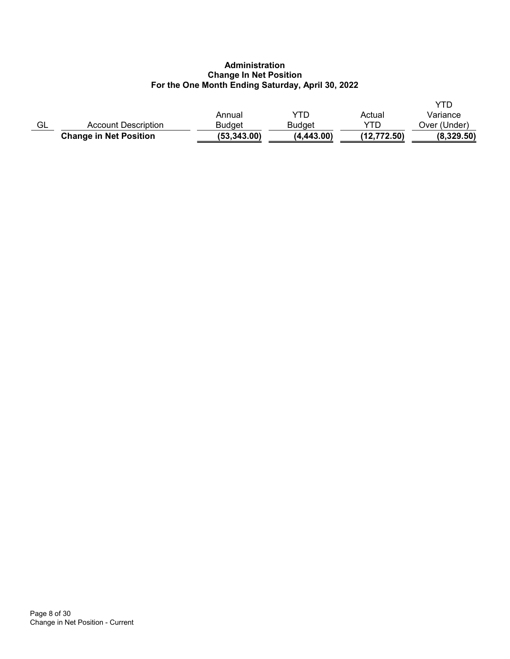# Administration Change In Net Position For the One Month Ending Saturday, April 30, 2022

|    | <b>Change in Net Position</b> | (53, 343.00)  | (4, 443.00) | (12, 772.50) | (8,329.50)   |
|----|-------------------------------|---------------|-------------|--------------|--------------|
| GL | Account Description           | <b>Budget</b> | Budget      | VTN          | Over (Under) |
|    |                               | Annual        | YTN         | Actual       | Variance     |
|    |                               |               |             |              |              |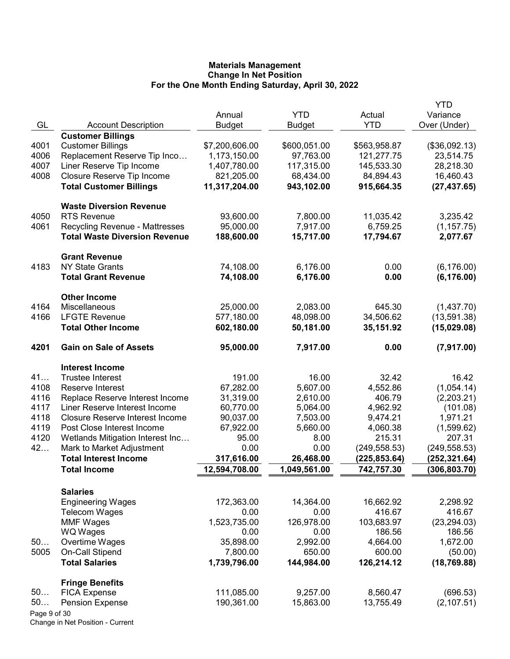|              |                                        |                |               |               | YTD           |
|--------------|----------------------------------------|----------------|---------------|---------------|---------------|
|              |                                        | Annual         | <b>YTD</b>    | Actual        | Variance      |
| GL           | <b>Account Description</b>             | <b>Budget</b>  | <b>Budget</b> | <b>YTD</b>    | Over (Under)  |
|              | <b>Customer Billings</b>               |                |               |               |               |
| 4001         | <b>Customer Billings</b>               | \$7,200,606.00 | \$600,051.00  | \$563,958.87  | (\$36,092.13) |
| 4006         | Replacement Reserve Tip Inco           | 1,173,150.00   | 97,763.00     | 121,277.75    | 23,514.75     |
| 4007         | Liner Reserve Tip Income               | 1,407,780.00   | 117,315.00    | 145,533.30    | 28,218.30     |
| 4008         | Closure Reserve Tip Income             | 821,205.00     | 68,434.00     | 84,894.43     | 16,460.43     |
|              | <b>Total Customer Billings</b>         | 11,317,204.00  | 943,102.00    | 915,664.35    | (27, 437.65)  |
|              | <b>Waste Diversion Revenue</b>         |                |               |               |               |
| 4050         | <b>RTS Revenue</b>                     | 93,600.00      | 7,800.00      | 11,035.42     | 3,235.42      |
| 4061         | <b>Recycling Revenue - Mattresses</b>  | 95,000.00      | 7,917.00      | 6,759.25      | (1, 157.75)   |
|              | <b>Total Waste Diversion Revenue</b>   | 188,600.00     | 15,717.00     | 17,794.67     | 2,077.67      |
|              | <b>Grant Revenue</b>                   |                |               |               |               |
| 4183         | <b>NY State Grants</b>                 | 74,108.00      | 6,176.00      | 0.00          | (6, 176.00)   |
|              | <b>Total Grant Revenue</b>             | 74,108.00      | 6,176.00      | 0.00          | (6, 176.00)   |
|              | <b>Other Income</b>                    |                |               |               |               |
| 4164         | Miscellaneous                          | 25,000.00      | 2,083.00      | 645.30        | (1,437.70)    |
| 4166         | <b>LFGTE Revenue</b>                   | 577,180.00     | 48,098.00     | 34,506.62     | (13,591.38)   |
|              | <b>Total Other Income</b>              | 602,180.00     | 50,181.00     | 35,151.92     | (15,029.08)   |
| 4201         | <b>Gain on Sale of Assets</b>          | 95,000.00      | 7,917.00      | 0.00          | (7,917.00)    |
|              | <b>Interest Income</b>                 |                |               |               |               |
| 41           | <b>Trustee Interest</b>                | 191.00         | 16.00         | 32.42         | 16.42         |
| 4108         | Reserve Interest                       | 67,282.00      | 5,607.00      | 4,552.86      | (1,054.14)    |
| 4116         | Replace Reserve Interest Income        | 31,319.00      | 2,610.00      | 406.79        | (2,203.21)    |
| 4117         | Liner Reserve Interest Income          | 60,770.00      | 5,064.00      | 4,962.92      | (101.08)      |
| 4118         | <b>Closure Reserve Interest Income</b> | 90,037.00      | 7,503.00      | 9,474.21      | 1,971.21      |
| 4119         | Post Close Interest Income             | 67,922.00      | 5,660.00      | 4,060.38      | (1,599.62)    |
| 4120         | Wetlands Mitigation Interest Inc       | 95.00          | 8.00          | 215.31        | 207.31        |
| 42           | Mark to Market Adjustment              | 0.00           | 0.00          | (249, 558.53) | (249, 558.53) |
|              | <b>Total Interest Income</b>           | 317,616.00     | 26,468.00     | (225, 853.64) | (252,321.64)  |
|              | <b>Total Income</b>                    | 12,594,708.00  | 1,049,561.00  | 742,757.30    | (306, 803.70) |
|              | <b>Salaries</b>                        |                |               |               |               |
|              | <b>Engineering Wages</b>               | 172,363.00     | 14,364.00     | 16,662.92     | 2,298.92      |
|              | Telecom Wages                          | 0.00           | 0.00          | 416.67        | 416.67        |
|              | <b>MMF Wages</b>                       | 1,523,735.00   | 126,978.00    | 103,683.97    | (23, 294.03)  |
|              | WQ Wages                               | 0.00           | 0.00          | 186.56        | 186.56        |
| 50           | Overtime Wages                         | 35,898.00      | 2,992.00      | 4,664.00      | 1,672.00      |
| 5005         | On-Call Stipend                        | 7,800.00       | 650.00        | 600.00        | (50.00)       |
|              | <b>Total Salaries</b>                  | 1,739,796.00   | 144,984.00    | 126,214.12    | (18, 769.88)  |
|              | <b>Fringe Benefits</b>                 |                |               |               |               |
| 50           | <b>FICA Expense</b>                    | 111,085.00     | 9,257.00      | 8,560.47      | (696.53)      |
| 50           | <b>Pension Expense</b>                 | 190,361.00     | 15,863.00     | 13,755.49     | (2, 107.51)   |
| Page 9 of 30 |                                        |                |               |               |               |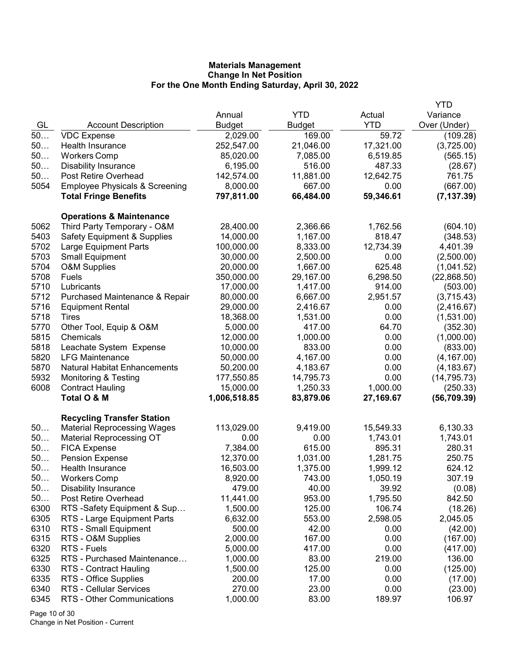|      |                                           |               |               |            | <b>YTD</b>   |
|------|-------------------------------------------|---------------|---------------|------------|--------------|
|      |                                           | Annual        | <b>YTD</b>    | Actual     | Variance     |
| GL   | <b>Account Description</b>                | <b>Budget</b> | <b>Budget</b> | <b>YTD</b> | Over (Under) |
| 50   | <b>VDC Expense</b>                        | 2,029.00      | 169.00        | 59.72      | (109.28)     |
| 50   | Health Insurance                          | 252,547.00    | 21,046.00     | 17,321.00  | (3,725.00)   |
| 50   | <b>Workers Comp</b>                       | 85,020.00     | 7,085.00      | 6,519.85   | (565.15)     |
| 50   | <b>Disability Insurance</b>               | 6,195.00      | 516.00        | 487.33     | (28.67)      |
| 50   | Post Retire Overhead                      | 142,574.00    | 11,881.00     | 12,642.75  | 761.75       |
| 5054 | <b>Employee Physicals &amp; Screening</b> | 8,000.00      | 667.00        | 0.00       | (667.00)     |
|      | <b>Total Fringe Benefits</b>              | 797,811.00    | 66,484.00     | 59,346.61  | (7, 137.39)  |
|      | <b>Operations &amp; Maintenance</b>       |               |               |            |              |
| 5062 | Third Party Temporary - O&M               | 28,400.00     | 2,366.66      | 1,762.56   | (604.10)     |
| 5403 | <b>Safety Equipment &amp; Supplies</b>    | 14,000.00     | 1,167.00      | 818.47     | (348.53)     |
| 5702 | <b>Large Equipment Parts</b>              | 100,000.00    | 8,333.00      | 12,734.39  | 4,401.39     |
| 5703 | <b>Small Equipment</b>                    | 30,000.00     | 2,500.00      | 0.00       | (2,500.00)   |
| 5704 | <b>O&amp;M Supplies</b>                   | 20,000.00     | 1,667.00      | 625.48     | (1,041.52)   |
| 5708 | Fuels                                     | 350,000.00    | 29,167.00     | 6,298.50   | (22,868.50)  |
| 5710 | Lubricants                                | 17,000.00     | 1,417.00      | 914.00     | (503.00)     |
| 5712 | Purchased Maintenance & Repair            | 80,000.00     | 6,667.00      | 2,951.57   | (3,715.43)   |
| 5716 | <b>Equipment Rental</b>                   | 29,000.00     | 2,416.67      | 0.00       | (2,416.67)   |
| 5718 | Tires                                     | 18,368.00     | 1,531.00      | 0.00       | (1,531.00)   |
| 5770 | Other Tool, Equip & O&M                   | 5,000.00      | 417.00        | 64.70      | (352.30)     |
| 5815 | Chemicals                                 | 12,000.00     | 1,000.00      | 0.00       | (1,000.00)   |
| 5818 | Leachate System Expense                   | 10,000.00     | 833.00        | 0.00       | (833.00)     |
| 5820 | <b>LFG Maintenance</b>                    | 50,000.00     | 4,167.00      | 0.00       | (4, 167.00)  |
| 5870 | <b>Natural Habitat Enhancements</b>       | 50,200.00     | 4,183.67      | 0.00       | (4, 183.67)  |
| 5932 | <b>Monitoring &amp; Testing</b>           | 177,550.85    | 14,795.73     | 0.00       | (14, 795.73) |
| 6008 | <b>Contract Hauling</b>                   | 15,000.00     | 1,250.33      | 1,000.00   | (250.33)     |
|      | Total O & M                               | 1,006,518.85  | 83,879.06     | 27,169.67  | (56, 709.39) |
|      | <b>Recycling Transfer Station</b>         |               |               |            |              |
| 50   | <b>Material Reprocessing Wages</b>        | 113,029.00    | 9,419.00      | 15,549.33  | 6,130.33     |
| 50   | <b>Material Reprocessing OT</b>           | 0.00          | 0.00          | 1,743.01   | 1,743.01     |
| 50   | <b>FICA Expense</b>                       | 7,384.00      | 615.00        | 895.31     | 280.31       |
| 50   | <b>Pension Expense</b>                    | 12,370.00     | 1,031.00      | 1,281.75   | 250.75       |
| 50   | Health Insurance                          | 16,503.00     | 1,375.00      | 1,999.12   | 624.12       |
| 50   | <b>Workers Comp</b>                       | 8,920.00      | 743.00        | 1,050.19   | 307.19       |
| 50   | <b>Disability Insurance</b>               | 479.00        | 40.00         | 39.92      | (0.08)       |
| 50   | Post Retire Overhead                      | 11,441.00     | 953.00        | 1,795.50   | 842.50       |
| 6300 | RTS -Safety Equipment & Sup               | 1,500.00      | 125.00        | 106.74     | (18.26)      |
| 6305 | RTS - Large Equipment Parts               | 6,632.00      | 553.00        | 2,598.05   | 2,045.05     |
| 6310 | RTS - Small Equipment                     | 500.00        | 42.00         | 0.00       | (42.00)      |
| 6315 | RTS - O&M Supplies                        | 2,000.00      | 167.00        | 0.00       | (167.00)     |
| 6320 | RTS - Fuels                               | 5,000.00      | 417.00        | 0.00       | (417.00)     |
| 6325 | RTS - Purchased Maintenance               | 1,000.00      | 83.00         | 219.00     | 136.00       |
| 6330 | RTS - Contract Hauling                    | 1,500.00      | 125.00        | 0.00       | (125.00)     |
| 6335 | RTS - Office Supplies                     | 200.00        | 17.00         | 0.00       | (17.00)      |
| 6340 | <b>RTS - Cellular Services</b>            | 270.00        | 23.00         | 0.00       | (23.00)      |
| 6345 | RTS - Other Communications                | 1,000.00      | 83.00         | 189.97     | 106.97       |

Page 10 of 30 Change in Net Position - Current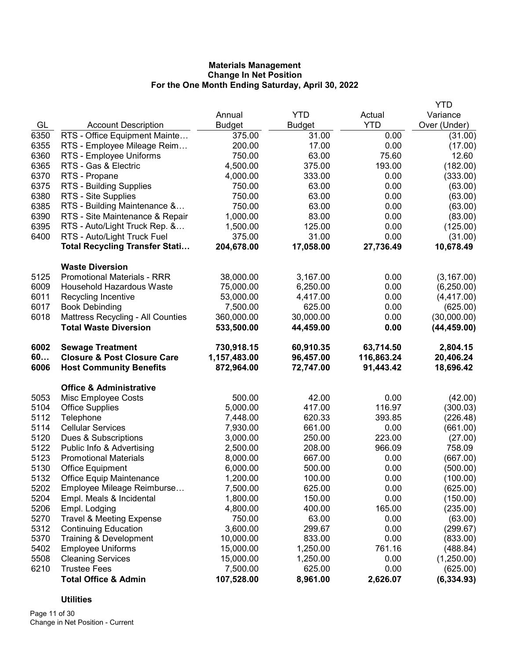|      |                                                        |                        |                    |                  | <b>YTD</b>              |
|------|--------------------------------------------------------|------------------------|--------------------|------------------|-------------------------|
|      |                                                        | Annual                 | <b>YTD</b>         | Actual           | Variance                |
| GL   | <b>Account Description</b>                             | <b>Budget</b>          | <b>Budget</b>      | <b>YTD</b>       | Over (Under)            |
| 6350 | RTS - Office Equipment Mainte                          | 375.00                 | 31.00              | 0.00             | (31.00)                 |
| 6355 | RTS - Employee Mileage Reim                            | 200.00                 | 17.00              | 0.00             | (17.00)                 |
| 6360 | RTS - Employee Uniforms                                | 750.00                 | 63.00              | 75.60            | 12.60                   |
| 6365 | RTS - Gas & Electric                                   | 4,500.00               | 375.00             | 193.00           | (182.00)                |
| 6370 | RTS - Propane                                          | 4,000.00               | 333.00             | 0.00             | (333.00)                |
| 6375 | RTS - Building Supplies                                | 750.00                 | 63.00              | 0.00             | (63.00)                 |
| 6380 | RTS - Site Supplies                                    | 750.00                 | 63.00              | 0.00             | (63.00)                 |
| 6385 | RTS - Building Maintenance &                           | 750.00                 | 63.00              | 0.00             | (63.00)                 |
| 6390 | RTS - Site Maintenance & Repair                        | 1,000.00               | 83.00              | 0.00             | (83.00)                 |
| 6395 | RTS - Auto/Light Truck Rep. &                          | 1,500.00               | 125.00             | 0.00             | (125.00)                |
| 6400 | RTS - Auto/Light Truck Fuel                            | 375.00                 | 31.00              | 0.00             | (31.00)                 |
|      | <b>Total Recycling Transfer Stati</b>                  | 204,678.00             | 17,058.00          | 27,736.49        | 10,678.49               |
|      | <b>Waste Diversion</b>                                 |                        |                    |                  |                         |
| 5125 | <b>Promotional Materials - RRR</b>                     | 38,000.00              | 3,167.00           | 0.00             | (3, 167.00)             |
| 6009 | <b>Household Hazardous Waste</b>                       | 75,000.00              | 6,250.00           | 0.00             | (6,250.00)              |
| 6011 | Recycling Incentive                                    | 53,000.00              | 4,417.00           | 0.00             | (4,417.00)              |
| 6017 | <b>Book Debinding</b>                                  | 7,500.00               | 625.00             | 0.00             | (625.00)                |
| 6018 | Mattress Recycling - All Counties                      | 360,000.00             | 30,000.00          | 0.00             | (30,000.00)             |
|      | <b>Total Waste Diversion</b>                           | 533,500.00             | 44,459.00          | 0.00             | (44, 459.00)            |
| 6002 | <b>Sewage Treatment</b>                                | 730,918.15             | 60,910.35          | 63,714.50        | 2,804.15                |
| 60   | <b>Closure &amp; Post Closure Care</b>                 | 1,157,483.00           | 96,457.00          | 116,863.24       | 20,406.24               |
| 6006 | <b>Host Community Benefits</b>                         | 872,964.00             | 72,747.00          | 91,443.42        | 18,696.42               |
|      | <b>Office &amp; Administrative</b>                     |                        |                    |                  |                         |
| 5053 | Misc Employee Costs                                    | 500.00                 | 42.00              | 0.00             | (42.00)                 |
| 5104 | <b>Office Supplies</b>                                 | 5,000.00               | 417.00             | 116.97           | (300.03)                |
| 5112 | Telephone                                              | 7,448.00               | 620.33             | 393.85           | (226.48)                |
| 5114 | <b>Cellular Services</b>                               | 7,930.00               | 661.00             | 0.00             | (661.00)                |
| 5120 | Dues & Subscriptions                                   | 3,000.00               | 250.00             | 223.00           | (27.00)                 |
| 5122 | Public Info & Advertising                              | 2,500.00               | 208.00             | 966.09           | 758.09                  |
| 5123 | <b>Promotional Materials</b>                           | 8,000.00               | 667.00             | 0.00             | (667.00)                |
| 5130 | <b>Office Equipment</b>                                | 6,000.00               | 500.00             | 0.00             | (500.00)                |
| 5132 | <b>Office Equip Maintenance</b>                        | 1,200.00               | 100.00             | 0.00             | (100.00)                |
| 5202 | Employee Mileage Reimburse                             | 7,500.00               | 625.00             | 0.00             | (625.00)                |
| 5204 | Empl. Meals & Incidental                               | 1,800.00               | 150.00             | 0.00             | (150.00)                |
| 5206 | Empl. Lodging                                          | 4,800.00               | 400.00             | 165.00           | (235.00)                |
| 5270 | <b>Travel &amp; Meeting Expense</b>                    | 750.00                 | 63.00              | 0.00             | (63.00)                 |
| 5312 | <b>Continuing Education</b>                            | 3,600.00               | 299.67             | 0.00             | (299.67)                |
| 5370 | Training & Development                                 | 10,000.00              | 833.00             | 0.00             | (833.00)                |
|      |                                                        |                        |                    | 761.16           | (488.84)                |
| 5402 | <b>Employee Uniforms</b>                               | 15,000.00              | 1,250.00           |                  |                         |
| 5508 | <b>Cleaning Services</b>                               | 15,000.00              | 1,250.00           | 0.00             | (1,250.00)              |
| 6210 | <b>Trustee Fees</b><br><b>Total Office &amp; Admin</b> | 7,500.00<br>107,528.00 | 625.00<br>8,961.00 | 0.00<br>2,626.07 | (625.00)<br>(6, 334.93) |

# **Utilities**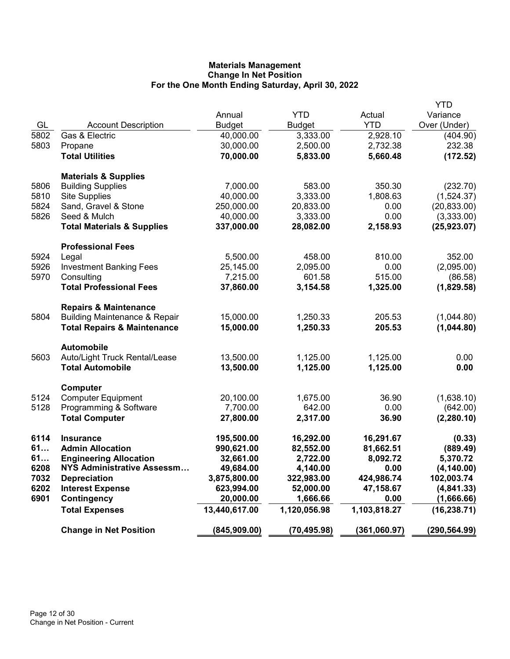|      |                                                     |               |               |              | YTD           |
|------|-----------------------------------------------------|---------------|---------------|--------------|---------------|
|      |                                                     | Annual        | <b>YTD</b>    | Actual       | Variance      |
| GL   | <b>Account Description</b>                          | <b>Budget</b> | <b>Budget</b> | <b>YTD</b>   | Over (Under)  |
| 5802 | Gas & Electric                                      | 40,000.00     | 3,333.00      | 2,928.10     | (404.90)      |
| 5803 | Propane                                             | 30,000.00     | 2,500.00      | 2,732.38     | 232.38        |
|      | <b>Total Utilities</b>                              | 70,000.00     | 5,833.00      | 5,660.48     | (172.52)      |
|      |                                                     |               |               |              |               |
|      | <b>Materials &amp; Supplies</b>                     |               |               |              |               |
| 5806 | <b>Building Supplies</b>                            | 7,000.00      | 583.00        | 350.30       | (232.70)      |
| 5810 | <b>Site Supplies</b>                                | 40,000.00     | 3,333.00      | 1,808.63     | (1,524.37)    |
| 5824 | Sand, Gravel & Stone                                | 250,000.00    | 20,833.00     | 0.00         | (20, 833.00)  |
| 5826 | Seed & Mulch                                        | 40,000.00     | 3,333.00      | 0.00         | (3,333.00)    |
|      | <b>Total Materials &amp; Supplies</b>               | 337,000.00    | 28,082.00     | 2,158.93     | (25, 923.07)  |
|      |                                                     |               |               |              |               |
|      | <b>Professional Fees</b>                            |               |               |              |               |
| 5924 | Legal                                               | 5,500.00      | 458.00        | 810.00       | 352.00        |
| 5926 | <b>Investment Banking Fees</b>                      | 25,145.00     | 2,095.00      | 0.00         | (2,095.00)    |
| 5970 | Consulting                                          | 7,215.00      | 601.58        | 515.00       | (86.58)       |
|      | <b>Total Professional Fees</b>                      | 37,860.00     | 3,154.58      | 1,325.00     | (1,829.58)    |
|      | <b>Repairs &amp; Maintenance</b>                    |               |               |              |               |
| 5804 | <b>Building Maintenance &amp; Repair</b>            | 15,000.00     | 1,250.33      | 205.53       | (1,044.80)    |
|      | <b>Total Repairs &amp; Maintenance</b>              | 15,000.00     | 1,250.33      | 205.53       | (1,044.80)    |
|      |                                                     |               |               |              |               |
|      | <b>Automobile</b>                                   |               |               |              |               |
| 5603 | Auto/Light Truck Rental/Lease                       | 13,500.00     | 1,125.00      | 1,125.00     | 0.00          |
|      | <b>Total Automobile</b>                             | 13,500.00     | 1,125.00      | 1,125.00     | 0.00          |
|      |                                                     |               |               |              |               |
| 5124 | Computer                                            | 20,100.00     | 1,675.00      | 36.90        |               |
| 5128 | <b>Computer Equipment</b><br>Programming & Software | 7,700.00      | 642.00        | 0.00         | (1,638.10)    |
|      |                                                     |               |               |              | (642.00)      |
|      | <b>Total Computer</b>                               | 27,800.00     | 2,317.00      | 36.90        | (2,280.10)    |
| 6114 | <b>Insurance</b>                                    | 195,500.00    | 16,292.00     | 16,291.67    | (0.33)        |
| 61   | <b>Admin Allocation</b>                             | 990,621.00    | 82,552.00     | 81,662.51    | (889.49)      |
| 61   | <b>Engineering Allocation</b>                       | 32,661.00     | 2,722.00      | 8,092.72     | 5,370.72      |
| 6208 | <b>NYS Administrative Assessm</b>                   | 49,684.00     | 4,140.00      | 0.00         | (4, 140.00)   |
| 7032 | <b>Depreciation</b>                                 | 3,875,800.00  | 322,983.00    | 424,986.74   | 102,003.74    |
| 6202 | <b>Interest Expense</b>                             | 623,994.00    | 52,000.00     | 47,158.67    | (4,841.33)    |
| 6901 | Contingency                                         | 20,000.00     | 1,666.66      | 0.00         | (1,666.66)    |
|      | <b>Total Expenses</b>                               | 13,440,617.00 | 1,120,056.98  | 1,103,818.27 | (16, 238.71)  |
|      |                                                     |               |               |              |               |
|      | <b>Change in Net Position</b>                       | (845, 909.00) | (70, 495.98)  | (361,060.97) | (290, 564.99) |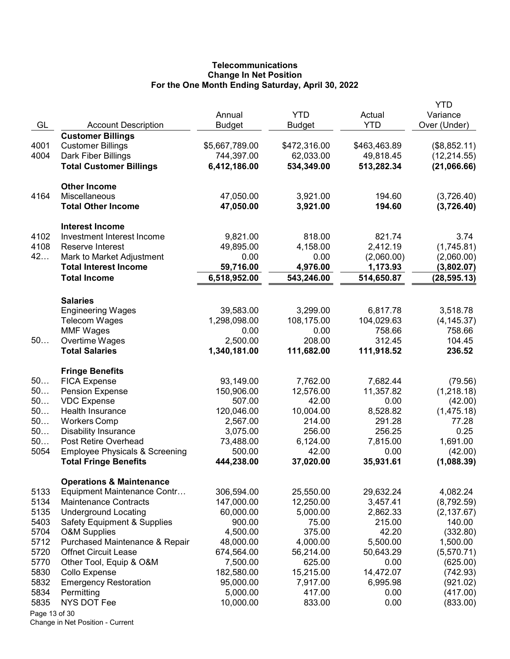# **Telecommunications** Change In Net Position For the One Month Ending Saturday, April 30, 2022

|               |                                           |                |               |              | YTD          |
|---------------|-------------------------------------------|----------------|---------------|--------------|--------------|
|               |                                           | Annual         | <b>YTD</b>    | Actual       | Variance     |
| GL            | <b>Account Description</b>                | <b>Budget</b>  | <b>Budget</b> | <b>YTD</b>   | Over (Under) |
|               | <b>Customer Billings</b>                  |                |               |              |              |
| 4001          | <b>Customer Billings</b>                  | \$5,667,789.00 | \$472,316.00  | \$463,463.89 | (\$8,852.11) |
| 4004          | Dark Fiber Billings                       | 744,397.00     | 62,033.00     | 49,818.45    | (12, 214.55) |
|               | <b>Total Customer Billings</b>            | 6,412,186.00   | 534,349.00    | 513,282.34   | (21,066.66)  |
|               |                                           |                |               |              |              |
|               | <b>Other Income</b>                       |                |               |              |              |
| 4164          | Miscellaneous                             | 47,050.00      | 3,921.00      | 194.60       | (3,726.40)   |
|               | <b>Total Other Income</b>                 | 47,050.00      | 3,921.00      | 194.60       | (3,726.40)   |
|               |                                           |                |               |              |              |
|               | <b>Interest Income</b>                    |                |               |              |              |
| 4102          | Investment Interest Income                | 9,821.00       | 818.00        | 821.74       | 3.74         |
| 4108          | Reserve Interest                          | 49,895.00      | 4,158.00      | 2,412.19     | (1,745.81)   |
| 42            | Mark to Market Adjustment                 | 0.00           | 0.00          | (2,060.00)   | (2,060.00)   |
|               | <b>Total Interest Income</b>              | 59,716.00      | 4,976.00      | 1,173.93     | (3,802.07)   |
|               |                                           |                |               |              |              |
|               | <b>Total Income</b>                       | 6,518,952.00   | 543,246.00    | 514,650.87   | (28, 595.13) |
|               |                                           |                |               |              |              |
|               | <b>Salaries</b>                           |                |               |              |              |
|               | <b>Engineering Wages</b>                  | 39,583.00      | 3,299.00      | 6,817.78     | 3,518.78     |
|               | <b>Telecom Wages</b>                      | 1,298,098.00   | 108,175.00    | 104,029.63   | (4, 145.37)  |
|               | <b>MMF Wages</b>                          | 0.00           | 0.00          | 758.66       | 758.66       |
| 50            | Overtime Wages                            | 2,500.00       | 208.00        | 312.45       | 104.45       |
|               | <b>Total Salaries</b>                     | 1,340,181.00   | 111,682.00    | 111,918.52   | 236.52       |
|               |                                           |                |               |              |              |
|               | <b>Fringe Benefits</b>                    |                |               |              |              |
| 50            | <b>FICA Expense</b>                       | 93,149.00      | 7,762.00      | 7,682.44     | (79.56)      |
| 50            | <b>Pension Expense</b>                    | 150,906.00     | 12,576.00     | 11,357.82    | (1,218.18)   |
| 50            | <b>VDC Expense</b>                        | 507.00         | 42.00         | 0.00         | (42.00)      |
| 50            | Health Insurance                          | 120,046.00     | 10,004.00     | 8,528.82     | (1,475.18)   |
| 50            | <b>Workers Comp</b>                       | 2,567.00       | 214.00        | 291.28       | 77.28        |
| 50            | <b>Disability Insurance</b>               | 3,075.00       | 256.00        | 256.25       | 0.25         |
| 50            | Post Retire Overhead                      | 73,488.00      | 6,124.00      | 7,815.00     | 1,691.00     |
| 5054          | <b>Employee Physicals &amp; Screening</b> | 500.00         | 42.00         | 0.00         | (42.00)      |
|               | <b>Total Fringe Benefits</b>              | 444,238.00     | 37,020.00     | 35,931.61    | (1,088.39)   |
|               |                                           |                |               |              |              |
|               | <b>Operations &amp; Maintenance</b>       |                |               |              |              |
| 5133          | Equipment Maintenance Contr               | 306,594.00     | 25,550.00     | 29,632.24    | 4,082.24     |
| 5134          | <b>Maintenance Contracts</b>              | 147,000.00     | 12,250.00     | 3,457.41     | (8,792.59)   |
| 5135          | <b>Underground Locating</b>               | 60,000.00      | 5,000.00      | 2,862.33     | (2, 137.67)  |
| 5403          | <b>Safety Equipment &amp; Supplies</b>    | 900.00         | 75.00         | 215.00       | 140.00       |
| 5704          | <b>O&amp;M Supplies</b>                   | 4,500.00       | 375.00        | 42.20        | (332.80)     |
| 5712          | Purchased Maintenance & Repair            | 48,000.00      | 4,000.00      | 5,500.00     | 1,500.00     |
| 5720          | <b>Offnet Circuit Lease</b>               | 674,564.00     | 56,214.00     | 50,643.29    | (5,570.71)   |
| 5770          | Other Tool, Equip & O&M                   | 7,500.00       | 625.00        | 0.00         | (625.00)     |
| 5830          | Collo Expense                             | 182,580.00     | 15,215.00     | 14,472.07    | (742.93)     |
| 5832          | <b>Emergency Restoration</b>              | 95,000.00      | 7,917.00      | 6,995.98     | (921.02)     |
| 5834          | Permitting                                | 5,000.00       | 417.00        | 0.00         | (417.00)     |
| 5835          | NYS DOT Fee                               | 10,000.00      | 833.00        | 0.00         | (833.00)     |
| Page 13 of 30 |                                           |                |               |              |              |
|               |                                           |                |               |              |              |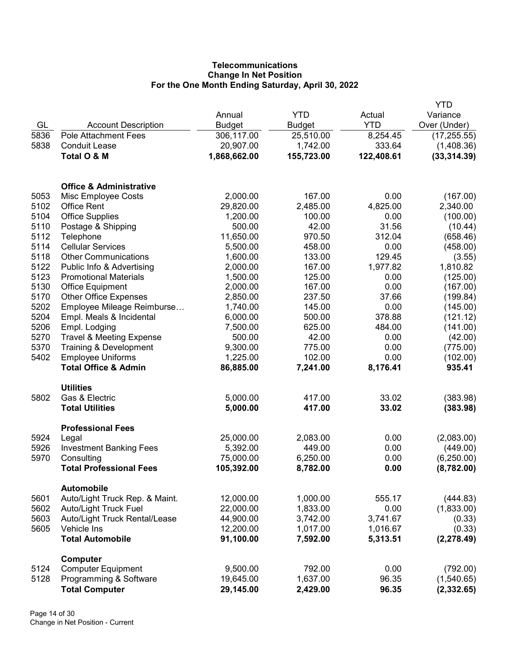# **Telecommunications** Change In Net Position For the One Month Ending Saturday, April 30, 2022

|              |                                       |                       |                    |              | YTD          |
|--------------|---------------------------------------|-----------------------|--------------------|--------------|--------------|
|              |                                       | Annual                | <b>YTD</b>         | Actual       | Variance     |
| GL           | <b>Account Description</b>            | <b>Budget</b>         | <b>Budget</b>      | <b>YTD</b>   | Over (Under) |
| 5836         | <b>Pole Attachment Fees</b>           | 306,117.00            | 25,510.00          | 8,254.45     | (17, 255.55) |
| 5838         | <b>Conduit Lease</b>                  | 20,907.00             | 1,742.00           | 333.64       | (1,408.36)   |
|              | Total O & M                           | 1,868,662.00          | 155,723.00         | 122,408.61   | (33, 314.39) |
|              |                                       |                       |                    |              |              |
|              | <b>Office &amp; Administrative</b>    |                       |                    |              |              |
| 5053         | Misc Employee Costs                   | 2,000.00              | 167.00             | 0.00         | (167.00)     |
| 5102         | <b>Office Rent</b>                    | 29,820.00             | 2,485.00           | 4,825.00     | 2,340.00     |
| 5104         | <b>Office Supplies</b>                | 1,200.00              | 100.00             | 0.00         | (100.00)     |
| 5110         | Postage & Shipping                    | 500.00                | 42.00              | 31.56        | (10.44)      |
| 5112         | Telephone                             | 11,650.00             | 970.50             | 312.04       | (658.46)     |
| 5114         | <b>Cellular Services</b>              | 5,500.00              | 458.00             | 0.00         | (458.00)     |
| 5118         | <b>Other Communications</b>           | 1,600.00              | 133.00             | 129.45       | (3.55)       |
| 5122         | Public Info & Advertising             | 2,000.00              | 167.00             | 1,977.82     | 1,810.82     |
| 5123         | <b>Promotional Materials</b>          | 1,500.00              | 125.00             | 0.00         | (125.00)     |
| 5130         | <b>Office Equipment</b>               | 2,000.00              | 167.00             | 0.00         | (167.00)     |
| 5170         | <b>Other Office Expenses</b>          | 2,850.00              | 237.50             | 37.66        | (199.84)     |
| 5202         | Employee Mileage Reimburse            | 1,740.00              | 145.00             | 0.00         | (145.00)     |
| 5204         | Empl. Meals & Incidental              | 6,000.00              | 500.00             | 378.88       | (121.12)     |
| 5206         | Empl. Lodging                         | 7,500.00              | 625.00             | 484.00       | (141.00)     |
| 5270         | <b>Travel &amp; Meeting Expense</b>   | 500.00                | 42.00              | 0.00         | (42.00)      |
| 5370         | Training & Development                | 9,300.00              | 775.00             | 0.00         | (775.00)     |
| 5402         | <b>Employee Uniforms</b>              | 1,225.00              | 102.00             | 0.00         | (102.00)     |
|              | <b>Total Office &amp; Admin</b>       | 86,885.00             | 7,241.00           | 8,176.41     | 935.41       |
|              | <b>Utilities</b>                      |                       |                    |              |              |
| 5802         | Gas & Electric                        | 5,000.00              | 417.00             | 33.02        | (383.98)     |
|              | <b>Total Utilities</b>                | 5,000.00              | 417.00             | 33.02        | (383.98)     |
|              | <b>Professional Fees</b>              |                       |                    |              |              |
| 5924<br>5926 | Legal                                 | 25,000.00<br>5,392.00 | 2,083.00<br>449.00 | 0.00<br>0.00 | (2,083.00)   |
| 5970         | <b>Investment Banking Fees</b>        |                       |                    |              | (449.00)     |
|              | Consulting                            | 75,000.00             | 6,250.00           | 0.00         | (6, 250.00)  |
|              | <b>Total Professional Fees</b>        | 105,392.00            | 8,782.00           | 0.00         | (8,782.00)   |
|              | <b>Automobile</b>                     |                       |                    |              |              |
| 5601         | Auto/Light Truck Rep. & Maint.        | 12,000.00             | 1,000.00           | 555.17       | (444.83)     |
| 5602         | Auto/Light Truck Fuel                 | 22,000.00             | 1,833.00           | 0.00         | (1,833.00)   |
| 5603         | Auto/Light Truck Rental/Lease         | 44,900.00             | 3,742.00           | 3,741.67     | (0.33)       |
| 5605         | Vehicle Ins                           | 12,200.00             | 1,017.00           | 1,016.67     | (0.33)       |
|              | <b>Total Automobile</b>               | 91,100.00             | 7,592.00           | 5,313.51     | (2, 278.49)  |
| 5124         | Computer<br><b>Computer Equipment</b> | 9,500.00              | 792.00             | 0.00         | (792.00)     |
| 5128         | Programming & Software                | 19,645.00             | 1,637.00           | 96.35        | (1,540.65)   |
|              | <b>Total Computer</b>                 | 29,145.00             | 2,429.00           | 96.35        | (2, 332.65)  |
|              |                                       |                       |                    |              |              |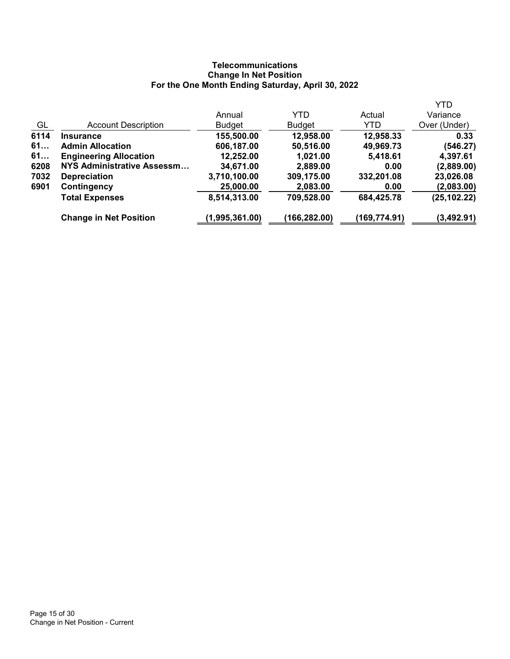# **Telecommunications** Change In Net Position For the One Month Ending Saturday, April 30, 2022

|                                   |                |               |              | <b>YTD</b>   |
|-----------------------------------|----------------|---------------|--------------|--------------|
|                                   | Annual         | YTD           | Actual       | Variance     |
| <b>Account Description</b>        | <b>Budget</b>  | <b>Budget</b> | YTD          | Over (Under) |
| <b>Insurance</b>                  | 155,500.00     | 12,958.00     | 12,958.33    | 0.33         |
| <b>Admin Allocation</b>           | 606,187.00     | 50,516.00     | 49,969.73    | (546.27)     |
| <b>Engineering Allocation</b>     | 12,252.00      | 1,021.00      | 5,418.61     | 4,397.61     |
| <b>NYS Administrative Assessm</b> | 34,671.00      | 2,889.00      | 0.00         | (2,889.00)   |
| <b>Depreciation</b>               | 3,710,100.00   | 309,175.00    | 332,201.08   | 23,026.08    |
| <b>Contingency</b>                | 25,000.00      | 2,083.00      | 0.00         | (2,083.00)   |
| <b>Total Expenses</b>             | 8,514,313.00   | 709,528.00    | 684,425.78   | (25, 102.22) |
| <b>Change in Net Position</b>     | (1,995,361.00) | (166,282.00)  | (169,774.91) | (3,492.91)   |
|                                   |                |               |              |              |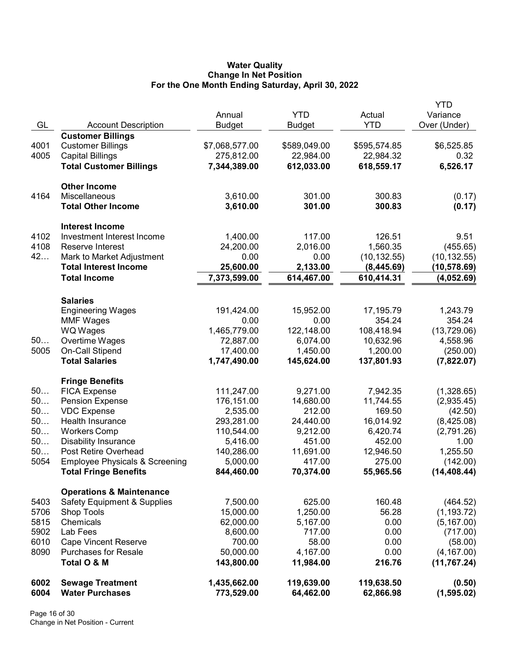### Water Quality Change In Net Position For the One Month Ending Saturday, April 30, 2022

|              |                                                   |                            |                         |                         | YTD                   |
|--------------|---------------------------------------------------|----------------------------|-------------------------|-------------------------|-----------------------|
|              |                                                   | Annual                     | <b>YTD</b>              | Actual                  | Variance              |
| GL           | <b>Account Description</b>                        | <b>Budget</b>              | <b>Budget</b>           | <b>YTD</b>              | Over (Under)          |
|              | <b>Customer Billings</b>                          |                            |                         |                         |                       |
| 4001         | <b>Customer Billings</b>                          | \$7,068,577.00             | \$589,049.00            | \$595,574.85            | \$6,525.85            |
| 4005         | <b>Capital Billings</b>                           | 275,812.00                 | 22,984.00               | 22,984.32               | 0.32                  |
|              | <b>Total Customer Billings</b>                    | 7,344,389.00               | 612,033.00              | 618,559.17              | 6,526.17              |
|              |                                                   |                            |                         |                         |                       |
|              | <b>Other Income</b>                               |                            |                         |                         |                       |
| 4164         | Miscellaneous                                     | 3,610.00                   | 301.00                  | 300.83                  | (0.17)                |
|              | <b>Total Other Income</b>                         | 3,610.00                   | 301.00                  | 300.83                  | (0.17)                |
|              | <b>Interest Income</b>                            |                            |                         |                         |                       |
| 4102         | Investment Interest Income                        | 1,400.00                   | 117.00                  | 126.51                  | 9.51                  |
| 4108         | Reserve Interest                                  | 24,200.00                  | 2,016.00                | 1,560.35                | (455.65)              |
| 42           | Mark to Market Adjustment                         | 0.00                       | 0.00                    | (10, 132.55)            | (10, 132.55)          |
|              | <b>Total Interest Income</b>                      | 25,600.00                  | 2,133.00                | (8,445.69)              | (10,578.69)           |
|              | <b>Total Income</b>                               | 7,373,599.00               | 614,467.00              | 610,414.31              | (4,052.69)            |
|              |                                                   |                            |                         |                         |                       |
|              | <b>Salaries</b>                                   |                            |                         |                         |                       |
|              | <b>Engineering Wages</b>                          | 191,424.00                 | 15,952.00               | 17,195.79               | 1,243.79              |
|              | <b>MMF Wages</b>                                  | 0.00                       | 0.00                    | 354.24                  | 354.24                |
|              | <b>WQ Wages</b>                                   | 1,465,779.00               | 122,148.00              | 108,418.94              | (13, 729.06)          |
| 50           | Overtime Wages                                    | 72,887.00                  | 6,074.00                | 10,632.96               | 4,558.96              |
| 5005         | On-Call Stipend                                   | 17,400.00                  | 1,450.00                | 1,200.00                | (250.00)              |
|              | <b>Total Salaries</b>                             | 1,747,490.00               | 145,624.00              | 137,801.93              | (7,822.07)            |
|              | <b>Fringe Benefits</b>                            |                            |                         |                         |                       |
| 50           | <b>FICA Expense</b>                               | 111,247.00                 | 9,271.00                | 7,942.35                | (1,328.65)            |
| 50           | <b>Pension Expense</b>                            | 176,151.00                 | 14,680.00               | 11,744.55               | (2,935.45)            |
| 50           | <b>VDC Expense</b>                                | 2,535.00                   | 212.00                  | 169.50                  | (42.50)               |
| 50           | Health Insurance                                  | 293,281.00                 | 24,440.00               | 16,014.92               | (8,425.08)            |
| 50           | <b>Workers Comp</b>                               | 110,544.00                 | 9,212.00                | 6,420.74                | (2,791.26)            |
| 50           | <b>Disability Insurance</b>                       | 5,416.00                   | 451.00                  | 452.00                  | 1.00                  |
| 50           | Post Retire Overhead                              | 140,286.00                 | 11,691.00               | 12,946.50               | 1,255.50              |
| 5054         | <b>Employee Physicals &amp; Screening</b>         | 5,000.00                   | 417.00                  | 275.00                  | (142.00)              |
|              | <b>Total Fringe Benefits</b>                      | 844,460.00                 | 70,374.00               | 55,965.56               | (14, 408.44)          |
|              | <b>Operations &amp; Maintenance</b>               |                            |                         |                         |                       |
| 5403         | <b>Safety Equipment &amp; Supplies</b>            | 7,500.00                   | 625.00                  | 160.48                  | (464.52)              |
| 5706         | Shop Tools                                        | 15,000.00                  | 1,250.00                | 56.28                   | (1, 193.72)           |
| 5815         | Chemicals                                         | 62,000.00                  | 5,167.00                | 0.00                    | (5, 167.00)           |
| 5902         | Lab Fees                                          | 8,600.00                   | 717.00                  | 0.00                    | (717.00)              |
| 6010         | <b>Cape Vincent Reserve</b>                       | 700.00                     | 58.00                   | 0.00                    | (58.00)               |
| 8090         | <b>Purchases for Resale</b>                       | 50,000.00                  | 4,167.00                | 0.00                    | (4, 167.00)           |
|              | Total O & M                                       | 143,800.00                 | 11,984.00               | 216.76                  | (11, 767.24)          |
|              |                                                   |                            |                         |                         |                       |
| 6002<br>6004 | <b>Sewage Treatment</b><br><b>Water Purchases</b> | 1,435,662.00<br>773,529.00 | 119,639.00<br>64,462.00 | 119,638.50<br>62,866.98 | (0.50)<br>(1, 595.02) |
|              |                                                   |                            |                         |                         |                       |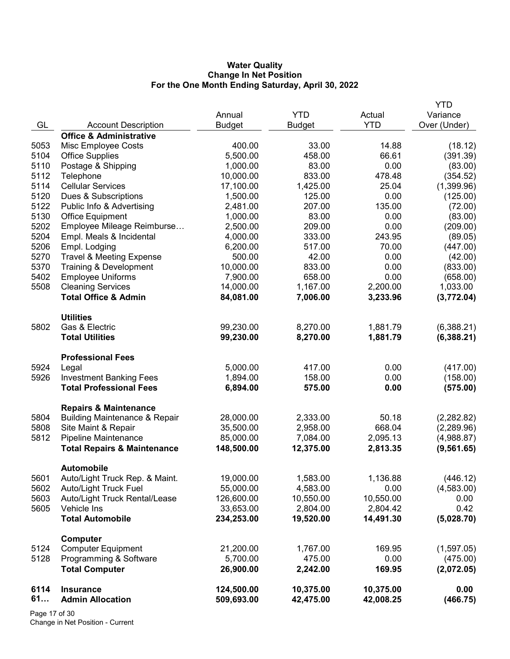### Water Quality Change In Net Position For the One Month Ending Saturday, April 30, 2022

|      |                                          |               |               |            | YTD          |
|------|------------------------------------------|---------------|---------------|------------|--------------|
|      |                                          | Annual        | <b>YTD</b>    | Actual     | Variance     |
| GL   | <b>Account Description</b>               | <b>Budget</b> | <b>Budget</b> | <b>YTD</b> | Over (Under) |
|      | <b>Office &amp; Administrative</b>       |               |               |            |              |
| 5053 | Misc Employee Costs                      | 400.00        | 33.00         | 14.88      | (18.12)      |
| 5104 | <b>Office Supplies</b>                   | 5,500.00      | 458.00        | 66.61      | (391.39)     |
| 5110 | Postage & Shipping                       | 1,000.00      | 83.00         | 0.00       | (83.00)      |
| 5112 | Telephone                                | 10,000.00     | 833.00        | 478.48     | (354.52)     |
| 5114 | <b>Cellular Services</b>                 | 17,100.00     | 1,425.00      | 25.04      | (1,399.96)   |
| 5120 | Dues & Subscriptions                     | 1,500.00      | 125.00        | 0.00       | (125.00)     |
| 5122 | Public Info & Advertising                | 2,481.00      | 207.00        | 135.00     | (72.00)      |
| 5130 | <b>Office Equipment</b>                  | 1,000.00      | 83.00         | 0.00       | (83.00)      |
| 5202 | Employee Mileage Reimburse               | 2,500.00      | 209.00        | 0.00       | (209.00)     |
| 5204 | Empl. Meals & Incidental                 | 4,000.00      | 333.00        | 243.95     | (89.05)      |
| 5206 | Empl. Lodging                            | 6,200.00      | 517.00        | 70.00      | (447.00)     |
| 5270 | <b>Travel &amp; Meeting Expense</b>      | 500.00        | 42.00         | 0.00       | (42.00)      |
| 5370 | Training & Development                   | 10,000.00     | 833.00        | 0.00       | (833.00)     |
| 5402 | <b>Employee Uniforms</b>                 | 7,900.00      | 658.00        | 0.00       | (658.00)     |
| 5508 | <b>Cleaning Services</b>                 | 14,000.00     | 1,167.00      | 2,200.00   | 1,033.00     |
|      | <b>Total Office &amp; Admin</b>          | 84,081.00     | 7,006.00      | 3,233.96   | (3,772.04)   |
|      |                                          |               |               |            |              |
|      | <b>Utilities</b>                         |               |               |            |              |
| 5802 | Gas & Electric                           | 99,230.00     | 8,270.00      | 1,881.79   | (6,388.21)   |
|      | <b>Total Utilities</b>                   | 99,230.00     | 8,270.00      | 1,881.79   | (6,388.21)   |
|      |                                          |               |               |            |              |
|      | <b>Professional Fees</b>                 |               |               |            |              |
| 5924 | Legal                                    | 5,000.00      | 417.00        | 0.00       | (417.00)     |
| 5926 | <b>Investment Banking Fees</b>           | 1,894.00      | 158.00        | 0.00       | (158.00)     |
|      | <b>Total Professional Fees</b>           | 6,894.00      | 575.00        | 0.00       | (575.00)     |
|      |                                          |               |               |            |              |
|      | <b>Repairs &amp; Maintenance</b>         |               |               |            |              |
| 5804 | <b>Building Maintenance &amp; Repair</b> | 28,000.00     | 2,333.00      | 50.18      | (2,282.82)   |
| 5808 | Site Maint & Repair                      | 35,500.00     | 2,958.00      | 668.04     | (2,289.96)   |
| 5812 | Pipeline Maintenance                     | 85,000.00     | 7,084.00      | 2,095.13   | (4,988.87)   |
|      | <b>Total Repairs &amp; Maintenance</b>   | 148,500.00    | 12,375.00     | 2,813.35   | (9, 561.65)  |
|      |                                          |               |               |            |              |
|      | <b>Automobile</b>                        |               |               |            |              |
| 5601 | Auto/Light Truck Rep. & Maint.           | 19,000.00     | 1,583.00      | 1,136.88   | (446.12)     |
| 5602 | <b>Auto/Light Truck Fuel</b>             | 55,000.00     | 4,583.00      | 0.00       | (4,583.00)   |
| 5603 | Auto/Light Truck Rental/Lease            | 126,600.00    | 10,550.00     | 10,550.00  | 0.00         |
| 5605 | Vehicle Ins                              | 33,653.00     | 2,804.00      | 2,804.42   | 0.42         |
|      | <b>Total Automobile</b>                  | 234,253.00    | 19,520.00     | 14,491.30  | (5,028.70)   |
|      |                                          |               |               |            |              |
|      | Computer                                 |               |               |            |              |
| 5124 | <b>Computer Equipment</b>                | 21,200.00     | 1,767.00      | 169.95     | (1,597.05)   |
| 5128 | Programming & Software                   | 5,700.00      | 475.00        | 0.00       | (475.00)     |
|      | <b>Total Computer</b>                    | 26,900.00     | 2,242.00      | 169.95     | (2,072.05)   |
|      |                                          |               |               |            |              |
| 6114 | <b>Insurance</b>                         | 124,500.00    | 10,375.00     | 10,375.00  | 0.00         |
| 61   | <b>Admin Allocation</b>                  | 509,693.00    | 42,475.00     | 42,008.25  | (466.75)     |
|      |                                          |               |               |            |              |

Page 17 of 30 Change in Net Position - Current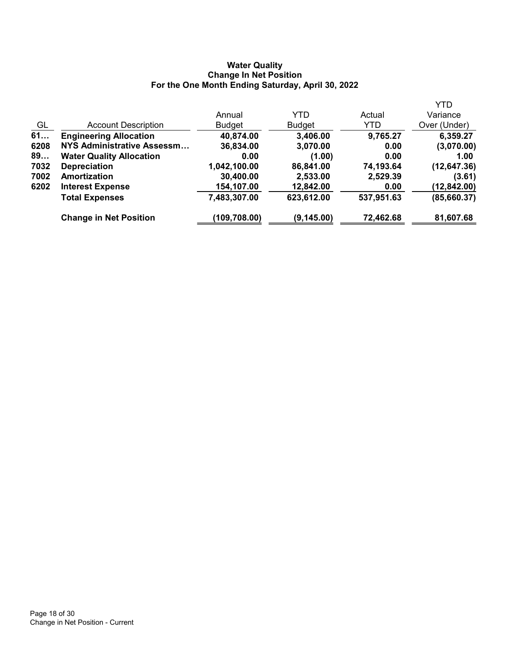### Water Quality Change In Net Position For the One Month Ending Saturday, April 30, 2022

|      |                                 |               |               |            | <b>YTD</b>   |
|------|---------------------------------|---------------|---------------|------------|--------------|
|      |                                 | Annual        | YTD           | Actual     | Variance     |
| GL   | <b>Account Description</b>      | <b>Budget</b> | <b>Budget</b> | YTD        | Over (Under) |
| 61   | <b>Engineering Allocation</b>   | 40,874.00     | 3,406.00      | 9,765.27   | 6,359.27     |
| 6208 | NYS Administrative Assessm      | 36,834.00     | 3,070.00      | 0.00       | (3,070.00)   |
| 89   | <b>Water Quality Allocation</b> | 0.00          | (1.00)        | 0.00       | 1.00         |
| 7032 | <b>Depreciation</b>             | 1,042,100.00  | 86,841.00     | 74,193.64  | (12, 647.36) |
| 7002 | Amortization                    | 30,400.00     | 2,533.00      | 2,529.39   | (3.61)       |
| 6202 | <b>Interest Expense</b>         | 154,107.00    | 12,842.00     | 0.00       | (12, 842.00) |
|      | <b>Total Expenses</b>           | 7,483,307.00  | 623,612.00    | 537,951.63 | (85,660.37)  |
|      | <b>Change in Net Position</b>   | (109,708.00)  | (9, 145.00)   | 72,462.68  | 81,607.68    |
|      |                                 |               |               |            |              |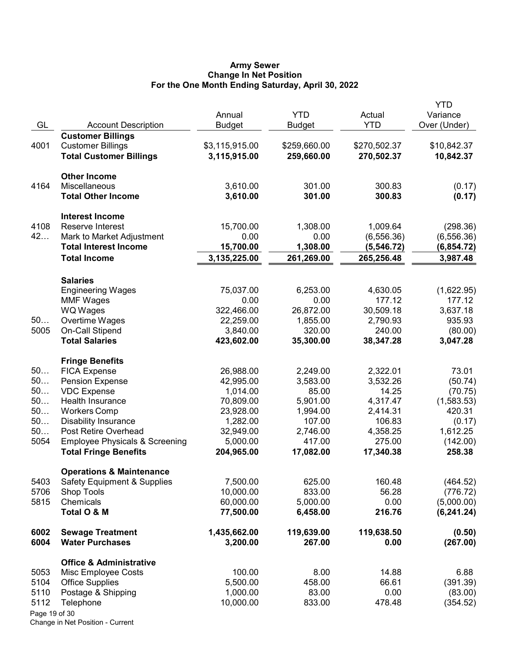#### Army Sewer Change In Net Position For the One Month Ending Saturday, April 30, 2022

| GL            | <b>Account Description</b>                         | Annual<br><b>Budget</b>  | <b>YTD</b><br>Budget | Actual<br><b>YTD</b> | <b>YTD</b><br>Variance<br>Over (Under) |
|---------------|----------------------------------------------------|--------------------------|----------------------|----------------------|----------------------------------------|
|               | <b>Customer Billings</b>                           |                          |                      |                      |                                        |
| 4001          | <b>Customer Billings</b>                           | \$3,115,915.00           | \$259,660.00         | \$270,502.37         | \$10,842.37                            |
|               | <b>Total Customer Billings</b>                     | 3,115,915.00             | 259,660.00           | 270,502.37           | 10,842.37                              |
|               | <b>Other Income</b>                                |                          |                      |                      |                                        |
| 4164          | Miscellaneous                                      | 3,610.00                 | 301.00               | 300.83               | (0.17)                                 |
|               | <b>Total Other Income</b>                          | 3,610.00                 | 301.00               | 300.83               | (0.17)                                 |
|               | <b>Interest Income</b>                             |                          |                      |                      |                                        |
| 4108          | Reserve Interest                                   | 15,700.00                | 1,308.00             | 1,009.64             | (298.36)                               |
| 42            | Mark to Market Adjustment                          | 0.00                     | 0.00                 | (6, 556.36)          | (6, 556.36)                            |
|               | <b>Total Interest Income</b>                       | 15,700.00                | 1,308.00             | (5, 546.72)          | (6,854.72)                             |
|               | <b>Total Income</b>                                | 3,135,225.00             | 261,269.00           | 265,256.48           | 3,987.48                               |
|               | <b>Salaries</b>                                    |                          |                      |                      |                                        |
|               | <b>Engineering Wages</b>                           | 75,037.00                | 6,253.00             | 4,630.05             | (1,622.95)                             |
|               | <b>MMF Wages</b>                                   | 0.00                     | 0.00                 | 177.12               | 177.12                                 |
|               | <b>WQ Wages</b>                                    | 322,466.00               | 26,872.00            | 30,509.18            | 3,637.18                               |
| 50            | Overtime Wages                                     | 22,259.00                | 1,855.00             | 2,790.93             | 935.93                                 |
| 5005          | On-Call Stipend                                    | 3,840.00                 | 320.00               | 240.00               | (80.00)                                |
|               | <b>Total Salaries</b>                              | 423,602.00               | 35,300.00            | 38,347.28            | 3,047.28                               |
|               | <b>Fringe Benefits</b>                             |                          |                      |                      |                                        |
| 50            | <b>FICA Expense</b>                                | 26,988.00                | 2,249.00             | 2,322.01             | 73.01                                  |
| 50            | <b>Pension Expense</b>                             | 42,995.00                | 3,583.00             | 3,532.26             | (50.74)                                |
| 50            | <b>VDC Expense</b>                                 | 1,014.00                 | 85.00                | 14.25                | (70.75)                                |
| 50<br>50      | Health Insurance                                   | 70,809.00                | 5,901.00             | 4,317.47             | (1,583.53)                             |
| 50            | <b>Workers Comp</b><br><b>Disability Insurance</b> | 23,928.00<br>1,282.00    | 1,994.00<br>107.00   | 2,414.31<br>106.83   | 420.31                                 |
| 50            | Post Retire Overhead                               | 32,949.00                | 2,746.00             | 4,358.25             | (0.17)<br>1,612.25                     |
| 5054          | <b>Employee Physicals &amp; Screening</b>          | 5,000.00                 | 417.00               | 275.00               | (142.00)                               |
|               | <b>Total Fringe Benefits</b>                       | 204,965.00               | 17,082.00            | 17,340.38            | 258.38                                 |
|               | <b>Operations &amp; Maintenance</b>                |                          |                      |                      |                                        |
| 5403          | <b>Safety Equipment &amp; Supplies</b>             | 7,500.00                 | 625.00               | 160.48               | (464.52)                               |
| 5706          | <b>Shop Tools</b>                                  | 10,000.00                | 833.00               | 56.28                | (776.72)                               |
| 5815          | Chemicals                                          | 60,000.00                | 5,000.00             | 0.00                 | (5,000.00)                             |
|               | Total O & M                                        | 77,500.00                | 6,458.00             | 216.76               | (6, 241.24)                            |
| 6002<br>6004  | <b>Sewage Treatment</b><br><b>Water Purchases</b>  | 1,435,662.00<br>3,200.00 | 119,639.00<br>267.00 | 119,638.50<br>0.00   | (0.50)<br>(267.00)                     |
|               | <b>Office &amp; Administrative</b>                 |                          |                      |                      |                                        |
| 5053          | Misc Employee Costs                                | 100.00                   | 8.00                 | 14.88                | 6.88                                   |
| 5104          | <b>Office Supplies</b>                             | 5,500.00                 | 458.00               | 66.61                | (391.39)                               |
| 5110          | Postage & Shipping                                 | 1,000.00                 | 83.00                | 0.00                 | (83.00)                                |
| 5112          | Telephone                                          | 10,000.00                | 833.00               | 478.48               | (354.52)                               |
| Page 19 of 30 |                                                    |                          |                      |                      |                                        |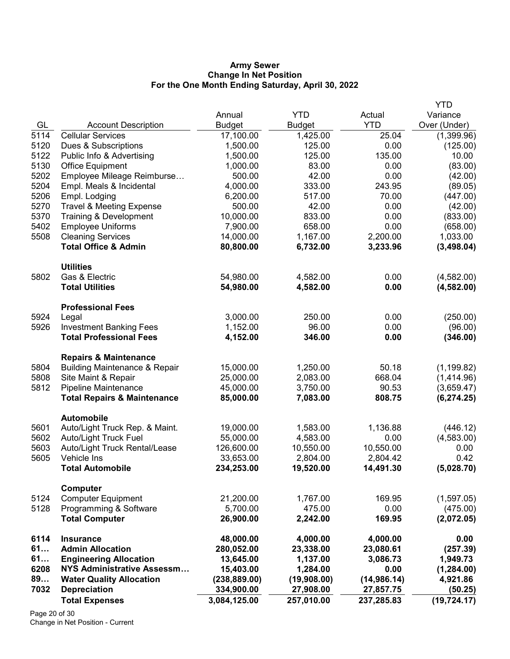### Army Sewer Change In Net Position For the One Month Ending Saturday, April 30, 2022

|      |                                          |               |               |             | <b>YTD</b>   |
|------|------------------------------------------|---------------|---------------|-------------|--------------|
|      |                                          | Annual        | <b>YTD</b>    | Actual      | Variance     |
| GL   | <b>Account Description</b>               | <b>Budget</b> | <b>Budget</b> | <b>YTD</b>  | Over (Under) |
| 5114 | <b>Cellular Services</b>                 | 17,100.00     | 1,425.00      | 25.04       | (1,399.96)   |
| 5120 | Dues & Subscriptions                     | 1,500.00      | 125.00        | 0.00        | (125.00)     |
| 5122 | Public Info & Advertising                | 1,500.00      | 125.00        | 135.00      | 10.00        |
| 5130 | Office Equipment                         | 1,000.00      | 83.00         | 0.00        | (83.00)      |
| 5202 | Employee Mileage Reimburse               | 500.00        | 42.00         | 0.00        | (42.00)      |
| 5204 | Empl. Meals & Incidental                 | 4,000.00      | 333.00        | 243.95      | (89.05)      |
| 5206 | Empl. Lodging                            | 6,200.00      | 517.00        | 70.00       | (447.00)     |
| 5270 | <b>Travel &amp; Meeting Expense</b>      | 500.00        | 42.00         | 0.00        | (42.00)      |
| 5370 | Training & Development                   | 10,000.00     | 833.00        | 0.00        | (833.00)     |
| 5402 | <b>Employee Uniforms</b>                 | 7,900.00      | 658.00        | 0.00        | (658.00)     |
| 5508 | <b>Cleaning Services</b>                 | 14,000.00     | 1,167.00      | 2,200.00    | 1,033.00     |
|      | <b>Total Office &amp; Admin</b>          | 80,800.00     | 6,732.00      | 3,233.96    | (3,498.04)   |
|      | <b>Utilities</b>                         |               |               |             |              |
| 5802 | Gas & Electric                           | 54,980.00     | 4,582.00      | 0.00        | (4,582.00)   |
|      | <b>Total Utilities</b>                   | 54,980.00     | 4,582.00      | 0.00        | (4, 582.00)  |
|      | <b>Professional Fees</b>                 |               |               |             |              |
| 5924 | Legal                                    | 3,000.00      | 250.00        | 0.00        | (250.00)     |
| 5926 | <b>Investment Banking Fees</b>           | 1,152.00      | 96.00         | 0.00        | (96.00)      |
|      | <b>Total Professional Fees</b>           | 4,152.00      | 346.00        | 0.00        | (346.00)     |
|      | <b>Repairs &amp; Maintenance</b>         |               |               |             |              |
| 5804 | <b>Building Maintenance &amp; Repair</b> | 15,000.00     | 1,250.00      | 50.18       | (1, 199.82)  |
| 5808 | Site Maint & Repair                      | 25,000.00     | 2,083.00      | 668.04      | (1,414.96)   |
| 5812 | Pipeline Maintenance                     | 45,000.00     | 3,750.00      | 90.53       | (3,659.47)   |
|      | <b>Total Repairs &amp; Maintenance</b>   | 85,000.00     | 7,083.00      | 808.75      | (6, 274.25)  |
|      | <b>Automobile</b>                        |               |               |             |              |
| 5601 | Auto/Light Truck Rep. & Maint.           | 19,000.00     | 1,583.00      | 1,136.88    | (446.12)     |
| 5602 | Auto/Light Truck Fuel                    | 55,000.00     | 4,583.00      | 0.00        | (4,583.00)   |
| 5603 | Auto/Light Truck Rental/Lease            | 126,600.00    | 10,550.00     | 10,550.00   | 0.00         |
| 5605 | Vehicle Ins                              | 33,653.00     | 2,804.00      | 2,804.42    | 0.42         |
|      | <b>Total Automobile</b>                  | 234,253.00    | 19,520.00     | 14,491.30   | (5,028.70)   |
|      | Computer                                 |               |               |             |              |
| 5124 | <b>Computer Equipment</b>                | 21,200.00     | 1,767.00      | 169.95      | (1,597.05)   |
| 5128 | Programming & Software                   | 5,700.00      | 475.00        | 0.00        | (475.00)     |
|      | <b>Total Computer</b>                    | 26,900.00     | 2,242.00      | 169.95      | (2,072.05)   |
| 6114 | <b>Insurance</b>                         | 48,000.00     | 4,000.00      | 4,000.00    | 0.00         |
| 61   | <b>Admin Allocation</b>                  | 280,052.00    | 23,338.00     | 23,080.61   | (257.39)     |
| 61   | <b>Engineering Allocation</b>            | 13,645.00     | 1,137.00      | 3,086.73    | 1,949.73     |
| 6208 | <b>NYS Administrative Assessm</b>        | 15,403.00     | 1,284.00      | 0.00        | (1, 284.00)  |
| 89   | <b>Water Quality Allocation</b>          | (238, 889.00) | (19,908.00)   | (14,986.14) | 4,921.86     |
| 7032 | <b>Depreciation</b>                      | 334,900.00    | 27,908.00     | 27,857.75   | (50.25)      |
|      | <b>Total Expenses</b>                    | 3,084,125.00  | 257,010.00    | 237,285.83  | (19, 724.17) |

Page 20 of 30 Change in Net Position - Current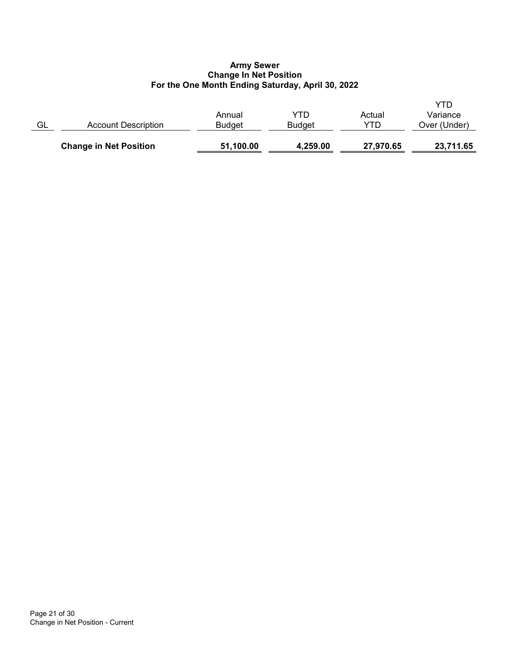## Army Sewer Change In Net Position For the One Month Ending Saturday, April 30, 2022

|    | <b>Change in Net Position</b> | 51,100.00               | 4,259.00             | 27,970.65     | 23,711.65                       |
|----|-------------------------------|-------------------------|----------------------|---------------|---------------------------------|
| GL | Account Description           | Annual<br><b>Budget</b> | YTD<br><b>Budget</b> | Actual<br>YTD | YTD<br>Variance<br>Over (Under) |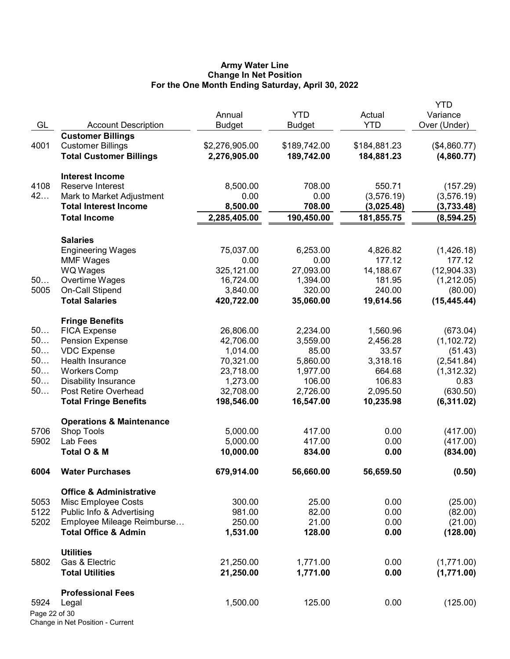### Army Water Line Change In Net Position For the One Month Ending Saturday, April 30, 2022

|               |                                     |                |              |              | <b>YTD</b>   |
|---------------|-------------------------------------|----------------|--------------|--------------|--------------|
|               |                                     | Annual         | <b>YTD</b>   | Actual       | Variance     |
| GL            | <b>Account Description</b>          | <b>Budget</b>  | Budget       | <b>YTD</b>   | Over (Under) |
|               | <b>Customer Billings</b>            |                |              |              |              |
| 4001          | <b>Customer Billings</b>            | \$2,276,905.00 | \$189,742.00 | \$184,881.23 | (\$4,860.77) |
|               | <b>Total Customer Billings</b>      | 2,276,905.00   | 189,742.00   | 184,881.23   | (4,860.77)   |
|               | <b>Interest Income</b>              |                |              |              |              |
| 4108          | Reserve Interest                    | 8,500.00       | 708.00       | 550.71       | (157.29)     |
| 42            | Mark to Market Adjustment           | 0.00           | 0.00         | (3, 576.19)  | (3,576.19)   |
|               | <b>Total Interest Income</b>        | 8,500.00       | 708.00       | (3,025.48)   | (3,733.48)   |
|               | <b>Total Income</b>                 | 2,285,405.00   | 190,450.00   | 181,855.75   | (8,594.25)   |
|               | <b>Salaries</b>                     |                |              |              |              |
|               | <b>Engineering Wages</b>            | 75,037.00      | 6,253.00     | 4,826.82     | (1,426.18)   |
|               | <b>MMF Wages</b>                    | 0.00           | 0.00         | 177.12       | 177.12       |
|               | WQ Wages                            | 325,121.00     | 27,093.00    | 14,188.67    | (12,904.33)  |
| 50            | Overtime Wages                      | 16,724.00      | 1,394.00     | 181.95       | (1,212.05)   |
| 5005          | On-Call Stipend                     | 3,840.00       | 320.00       | 240.00       | (80.00)      |
|               | <b>Total Salaries</b>               | 420,722.00     | 35,060.00    | 19,614.56    | (15, 445.44) |
|               | <b>Fringe Benefits</b>              |                |              |              |              |
| 50            | <b>FICA Expense</b>                 | 26,806.00      | 2,234.00     | 1,560.96     | (673.04)     |
| 50            | <b>Pension Expense</b>              | 42,706.00      | 3,559.00     | 2,456.28     | (1, 102.72)  |
| 50            | <b>VDC Expense</b>                  | 1,014.00       | 85.00        | 33.57        | (51.43)      |
| 50            | Health Insurance                    | 70,321.00      | 5,860.00     | 3,318.16     | (2,541.84)   |
| 50            | <b>Workers Comp</b>                 | 23,718.00      | 1,977.00     | 664.68       | (1,312.32)   |
| 50            | <b>Disability Insurance</b>         | 1,273.00       | 106.00       | 106.83       | 0.83         |
| 50            | Post Retire Overhead                | 32,708.00      | 2,726.00     | 2,095.50     | (630.50)     |
|               | <b>Total Fringe Benefits</b>        | 198,546.00     | 16,547.00    | 10,235.98    | (6,311.02)   |
|               | <b>Operations &amp; Maintenance</b> |                |              |              |              |
| 5706          | Shop Tools                          | 5,000.00       | 417.00       | 0.00         | (417.00)     |
| 5902          | Lab Fees                            | 5,000.00       | 417.00       | 0.00         | (417.00)     |
|               | Total O & M                         | 10,000.00      | 834.00       | 0.00         | (834.00)     |
| 6004          | <b>Water Purchases</b>              | 679,914.00     | 56,660.00    | 56,659.50    | (0.50)       |
|               | <b>Office &amp; Administrative</b>  |                |              |              |              |
| 5053          | Misc Employee Costs                 | 300.00         | 25.00        | 0.00         | (25.00)      |
| 5122          | Public Info & Advertising           | 981.00         | 82.00        | 0.00         | (82.00)      |
| 5202          | Employee Mileage Reimburse          | 250.00         | 21.00        | 0.00         | (21.00)      |
|               | <b>Total Office &amp; Admin</b>     | 1,531.00       | 128.00       | 0.00         | (128.00)     |
|               | <b>Utilities</b>                    |                |              |              |              |
| 5802          | Gas & Electric                      | 21,250.00      | 1,771.00     | 0.00         | (1,771.00)   |
|               | <b>Total Utilities</b>              | 21,250.00      | 1,771.00     | 0.00         | (1,771.00)   |
|               | <b>Professional Fees</b>            |                |              |              |              |
| 5924          | Legal                               | 1,500.00       | 125.00       | 0.00         | (125.00)     |
| Page 22 of 30 |                                     |                |              |              |              |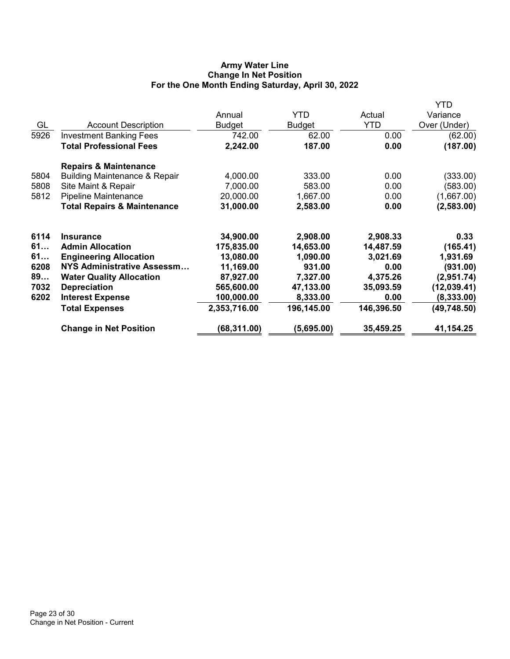# Army Water Line Change In Net Position For the One Month Ending Saturday, April 30, 2022

|                                          |                               |               |            | YTD          |
|------------------------------------------|-------------------------------|---------------|------------|--------------|
|                                          | Annual                        | <b>YTD</b>    | Actual     | Variance     |
| <b>Account Description</b>               | <b>Budget</b>                 | <b>Budget</b> | <b>YTD</b> | Over (Under) |
| <b>Investment Banking Fees</b>           | 742.00                        | 62.00         | 0.00       | (62.00)      |
| <b>Total Professional Fees</b>           | 2,242.00                      | 187.00        | 0.00       | (187.00)     |
| <b>Repairs &amp; Maintenance</b>         |                               |               |            |              |
| <b>Building Maintenance &amp; Repair</b> | 4,000.00                      | 333.00        | 0.00       | (333.00)     |
| Site Maint & Repair                      | 7,000.00                      | 583.00        | 0.00       | (583.00)     |
| Pipeline Maintenance                     | 20,000.00                     | 1,667.00      | 0.00       | (1,667.00)   |
| <b>Total Repairs &amp; Maintenance</b>   | 31,000.00                     | 2,583.00      | 0.00       | (2,583.00)   |
| <b>Insurance</b>                         | 34,900.00                     | 2,908.00      | 2,908.33   | 0.33         |
| <b>Admin Allocation</b>                  | 175,835.00                    | 14,653.00     | 14,487.59  | (165.41)     |
|                                          | 13,080.00                     | 1,090.00      | 3,021.69   | 1,931.69     |
| NYS Administrative Assessm               | 11,169.00                     | 931.00        | 0.00       | (931.00)     |
| <b>Water Quality Allocation</b>          | 87,927.00                     | 7,327.00      | 4,375.26   | (2,951.74)   |
| <b>Depreciation</b>                      | 565,600.00                    | 47,133.00     | 35,093.59  | (12, 039.41) |
| <b>Interest Expense</b>                  | 100,000.00                    | 8,333.00      | 0.00       | (8, 333.00)  |
| <b>Total Expenses</b>                    | 2,353,716.00                  | 196,145.00    | 146,396.50 | (49, 748.50) |
| <b>Change in Net Position</b>            | (68,311.00)                   | (5,695.00)    | 35,459.25  | 41,154.25    |
|                                          | <b>Engineering Allocation</b> |               |            |              |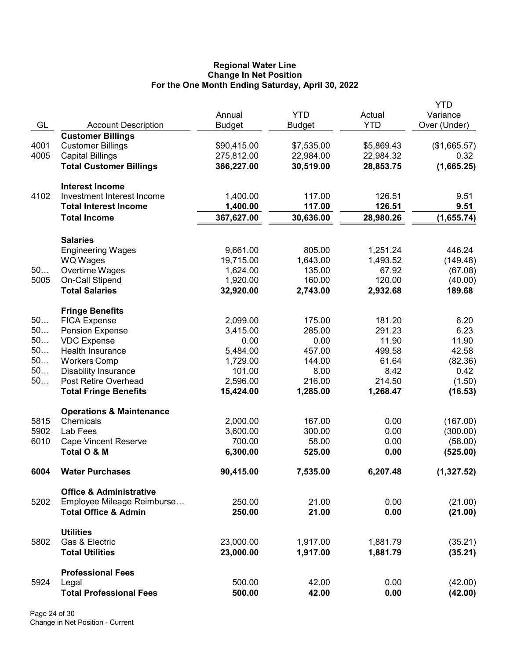### Regional Water Line Change In Net Position For the One Month Ending Saturday, April 30, 2022

|      |                                             |               |            |            | <b>YTD</b>          |
|------|---------------------------------------------|---------------|------------|------------|---------------------|
|      |                                             | Annual        | <b>YTD</b> | Actual     | Variance            |
| GL   | <b>Account Description</b>                  | <b>Budget</b> | Budget     | <b>YTD</b> | Over (Under)        |
|      | <b>Customer Billings</b>                    |               |            |            |                     |
| 4001 | <b>Customer Billings</b>                    | \$90,415.00   | \$7,535.00 | \$5,869.43 | (\$1,665.57)        |
| 4005 | <b>Capital Billings</b>                     | 275,812.00    | 22,984.00  | 22,984.32  | 0.32                |
|      | <b>Total Customer Billings</b>              | 366,227.00    | 30,519.00  | 28,853.75  | (1,665.25)          |
|      |                                             |               |            |            |                     |
|      | <b>Interest Income</b>                      |               |            |            |                     |
| 4102 | Investment Interest Income                  | 1,400.00      | 117.00     | 126.51     | 9.51                |
|      | <b>Total Interest Income</b>                | 1,400.00      | 117.00     | 126.51     | 9.51                |
|      | <b>Total Income</b>                         | 367,627.00    | 30,636.00  | 28,980.26  | (1,655.74)          |
|      |                                             |               |            |            |                     |
|      |                                             |               |            |            |                     |
|      | <b>Salaries</b><br><b>Engineering Wages</b> | 9,661.00      | 805.00     | 1,251.24   | 446.24              |
|      |                                             | 19,715.00     | 1,643.00   | 1,493.52   | (149.48)            |
| 50   | <b>WQ Wages</b>                             |               |            |            |                     |
|      | Overtime Wages                              | 1,624.00      | 135.00     | 67.92      | (67.08)             |
| 5005 | On-Call Stipend                             | 1,920.00      | 160.00     | 120.00     | (40.00)             |
|      | <b>Total Salaries</b>                       | 32,920.00     | 2,743.00   | 2,932.68   | 189.68              |
|      | <b>Fringe Benefits</b>                      |               |            |            |                     |
| 50   | <b>FICA Expense</b>                         | 2,099.00      | 175.00     | 181.20     | 6.20                |
| 50   | <b>Pension Expense</b>                      | 3,415.00      | 285.00     | 291.23     | 6.23                |
| 50   | <b>VDC Expense</b>                          | 0.00          | 0.00       | 11.90      | 11.90               |
| 50   | Health Insurance                            | 5,484.00      | 457.00     | 499.58     | 42.58               |
| 50   |                                             |               | 144.00     | 61.64      |                     |
|      | <b>Workers Comp</b>                         | 1,729.00      |            |            | (82.36)             |
| 50   | <b>Disability Insurance</b>                 | 101.00        | 8.00       | 8.42       | 0.42                |
| 50   | Post Retire Overhead                        | 2,596.00      | 216.00     | 214.50     | (1.50)              |
|      | <b>Total Fringe Benefits</b>                | 15,424.00     | 1,285.00   | 1,268.47   | (16.53)             |
|      | <b>Operations &amp; Maintenance</b>         |               |            |            |                     |
| 5815 | Chemicals                                   | 2,000.00      | 167.00     | 0.00       | (167.00)            |
| 5902 | Lab Fees                                    | 3,600.00      | 300.00     | 0.00       | (300.00)            |
| 6010 | <b>Cape Vincent Reserve</b>                 | 700.00        | 58.00      | 0.00       |                     |
|      | Total O & M                                 | 6,300.00      | 525.00     | 0.00       | (58.00)<br>(525.00) |
|      |                                             |               |            |            |                     |
| 6004 | <b>Water Purchases</b>                      | 90,415.00     | 7,535.00   | 6,207.48   | (1,327.52)          |
|      | <b>Office &amp; Administrative</b>          |               |            |            |                     |
| 5202 | Employee Mileage Reimburse                  | 250.00        | 21.00      | 0.00       | (21.00)             |
|      | <b>Total Office &amp; Admin</b>             |               | 21.00      | 0.00       |                     |
|      |                                             | 250.00        |            |            | (21.00)             |
|      | <b>Utilities</b>                            |               |            |            |                     |
| 5802 | Gas & Electric                              | 23,000.00     | 1,917.00   | 1,881.79   | (35.21)             |
|      | <b>Total Utilities</b>                      | 23,000.00     | 1,917.00   | 1,881.79   | (35.21)             |
|      |                                             |               |            |            |                     |
|      | <b>Professional Fees</b>                    |               |            |            |                     |
| 5924 | Legal                                       | 500.00        | 42.00      | 0.00       | (42.00)             |
|      | <b>Total Professional Fees</b>              | 500.00        | 42.00      | 0.00       | (42.00)             |
|      |                                             |               |            |            |                     |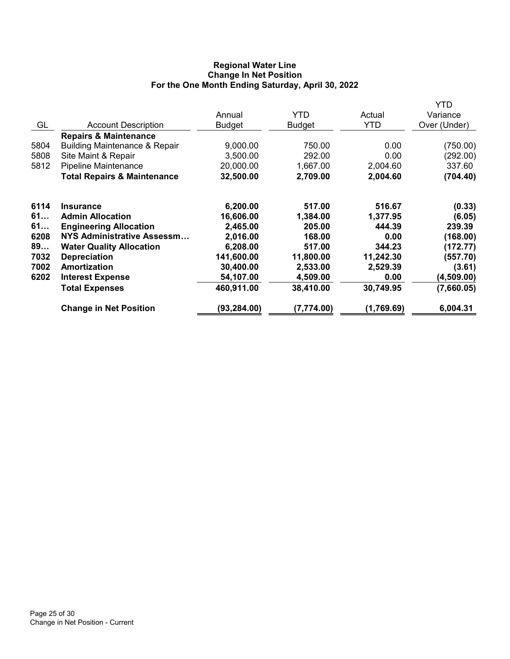# Regional Water Line Change In Net Position For the One Month Ending Saturday, April 30, 2022

|      |                                          |               |               |            | YTD          |
|------|------------------------------------------|---------------|---------------|------------|--------------|
|      |                                          | Annual        | <b>YTD</b>    | Actual     | Variance     |
| GL   | <b>Account Description</b>               | <b>Budget</b> | <b>Budget</b> | <b>YTD</b> | Over (Under) |
|      | <b>Repairs &amp; Maintenance</b>         |               |               |            |              |
| 5804 | <b>Building Maintenance &amp; Repair</b> | 9,000.00      | 750.00        | 0.00       | (750.00)     |
| 5808 | Site Maint & Repair                      | 3,500.00      | 292.00        | 0.00       | (292.00)     |
| 5812 | Pipeline Maintenance                     | 20,000.00     | 1,667.00      | 2,004.60   | 337.60       |
|      | <b>Total Repairs &amp; Maintenance</b>   | 32,500.00     | 2,709.00      | 2,004.60   | (704.40)     |
| 6114 | <b>Insurance</b>                         | 6,200.00      | 517.00        | 516.67     | (0.33)       |
| 61   | <b>Admin Allocation</b>                  | 16,606.00     | 1,384.00      | 1,377.95   | (6.05)       |
| 61   | <b>Engineering Allocation</b>            | 2,465.00      | 205.00        | 444.39     | 239.39       |
| 6208 | NYS Administrative Assessm               | 2,016.00      | 168.00        | 0.00       | (168.00)     |
| 89   | <b>Water Quality Allocation</b>          | 6,208.00      | 517.00        | 344.23     | (172.77)     |
| 7032 | <b>Depreciation</b>                      | 141,600.00    | 11,800.00     | 11,242.30  | (557.70)     |
| 7002 | Amortization                             | 30,400.00     | 2,533.00      | 2,529.39   | (3.61)       |
| 6202 | <b>Interest Expense</b>                  | 54,107.00     | 4,509.00      | 0.00       | (4,509.00)   |
|      | <b>Total Expenses</b>                    | 460,911.00    | 38,410.00     | 30,749.95  | (7,660.05)   |
|      | <b>Change in Net Position</b>            | (93, 284.00)  | (7,774.00)    | (1,769.69) | 6,004.31     |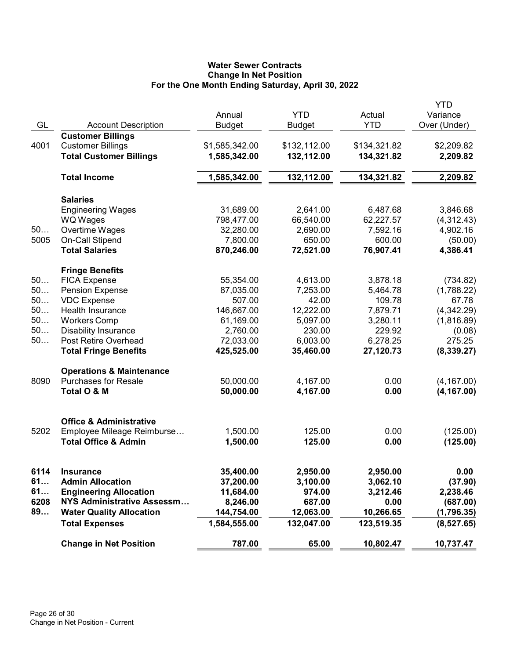# Water Sewer Contracts Change In Net Position For the One Month Ending Saturday, April 30, 2022

| GL   | <b>Account Description</b>                                                             | Annual<br><b>Budget</b>        | <b>YTD</b><br><b>Budget</b> | Actual<br><b>YTD</b>       | YTD<br>Variance<br>Over (Under) |
|------|----------------------------------------------------------------------------------------|--------------------------------|-----------------------------|----------------------------|---------------------------------|
| 4001 | <b>Customer Billings</b><br><b>Customer Billings</b><br><b>Total Customer Billings</b> | \$1,585,342.00<br>1,585,342.00 | \$132,112.00<br>132,112.00  | \$134,321.82<br>134,321.82 | \$2,209.82<br>2,209.82          |
|      | <b>Total Income</b>                                                                    | 1,585,342.00                   | 132,112.00                  | 134,321.82                 | 2,209.82                        |
|      | <b>Salaries</b>                                                                        |                                |                             |                            |                                 |
|      | <b>Engineering Wages</b>                                                               | 31,689.00                      | 2,641.00                    | 6,487.68                   | 3,846.68                        |
|      | <b>WQ Wages</b>                                                                        | 798,477.00                     | 66,540.00                   | 62,227.57                  | (4,312.43)                      |
| 50   | Overtime Wages                                                                         | 32,280.00                      | 2,690.00                    | 7,592.16                   | 4,902.16                        |
| 5005 | On-Call Stipend                                                                        | 7,800.00                       | 650.00                      | 600.00                     | (50.00)                         |
|      | <b>Total Salaries</b>                                                                  | 870,246.00                     | 72,521.00                   | 76,907.41                  | 4,386.41                        |
|      | <b>Fringe Benefits</b>                                                                 |                                |                             |                            |                                 |
| 50   | <b>FICA Expense</b>                                                                    | 55,354.00                      | 4,613.00                    | 3,878.18                   | (734.82)                        |
| 50   | <b>Pension Expense</b>                                                                 | 87,035.00                      | 7,253.00                    | 5,464.78                   | (1,788.22)                      |
| 50   | <b>VDC Expense</b>                                                                     | 507.00                         | 42.00                       | 109.78                     | 67.78                           |
| 50   | <b>Health Insurance</b>                                                                | 146,667.00                     | 12,222.00                   | 7,879.71                   | (4,342.29)                      |
| 50   | <b>Workers Comp</b>                                                                    | 61,169.00                      | 5,097.00                    | 3,280.11                   | (1,816.89)                      |
| 50   | <b>Disability Insurance</b>                                                            | 2,760.00                       | 230.00                      | 229.92                     | (0.08)                          |
| 50   | Post Retire Overhead                                                                   | 72,033.00                      | 6,003.00                    | 6,278.25                   | 275.25                          |
|      | <b>Total Fringe Benefits</b>                                                           | 425,525.00                     | 35,460.00                   | 27,120.73                  | (8, 339.27)                     |
|      | <b>Operations &amp; Maintenance</b>                                                    |                                |                             |                            |                                 |
| 8090 | <b>Purchases for Resale</b>                                                            | 50,000.00                      | 4,167.00                    | 0.00                       | (4, 167.00)                     |
|      | Total O & M                                                                            | 50,000.00                      | 4,167.00                    | 0.00                       | (4, 167.00)                     |
|      |                                                                                        |                                |                             |                            |                                 |
|      | <b>Office &amp; Administrative</b>                                                     |                                |                             |                            |                                 |
| 5202 | Employee Mileage Reimburse                                                             | 1,500.00                       | 125.00                      | 0.00                       | (125.00)                        |
|      | <b>Total Office &amp; Admin</b>                                                        | 1,500.00                       | 125.00                      | 0.00                       | (125.00)                        |
| 6114 | <b>Insurance</b>                                                                       | 35,400.00                      | 2,950.00                    | 2,950.00                   | 0.00                            |
| 61   | <b>Admin Allocation</b>                                                                | 37,200.00                      | 3,100.00                    | 3,062.10                   | (37.90)                         |
| 61   | <b>Engineering Allocation</b>                                                          | 11,684.00                      | 974.00                      | 3,212.46                   | 2,238.46                        |
| 6208 | NYS Administrative Assessm                                                             | 8,246.00                       | 687.00                      | 0.00                       | (687.00)                        |
| 89   | <b>Water Quality Allocation</b>                                                        | 144,754.00                     | 12,063.00                   | 10,266.65                  | (1,796.35)                      |
|      | <b>Total Expenses</b>                                                                  | 1,584,555.00                   | 132,047.00                  | 123,519.35                 | (8,527.65)                      |
|      | <b>Change in Net Position</b>                                                          | 787.00                         | 65.00                       | 10,802.47                  | 10,737.47                       |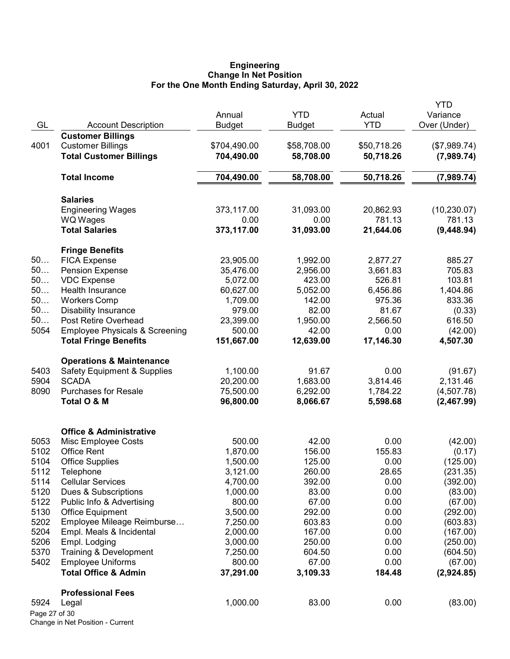#### Engineering Change In Net Position For the One Month Ending Saturday, April 30, 2022

|               |                                           | Annual        | <b>YTD</b>    | Actual      | YTD<br>Variance |
|---------------|-------------------------------------------|---------------|---------------|-------------|-----------------|
| GL            | <b>Account Description</b>                | <b>Budget</b> | <b>Budget</b> | <b>YTD</b>  | Over (Under)    |
|               | <b>Customer Billings</b>                  |               |               |             |                 |
| 4001          | <b>Customer Billings</b>                  | \$704,490.00  | \$58,708.00   | \$50,718.26 | (\$7,989.74)    |
|               | <b>Total Customer Billings</b>            | 704,490.00    | 58,708.00     | 50,718.26   | (7,989.74)      |
|               | <b>Total Income</b>                       | 704,490.00    | 58,708.00     | 50,718.26   | (7,989.74)      |
|               | <b>Salaries</b>                           |               |               |             |                 |
|               | <b>Engineering Wages</b>                  | 373,117.00    | 31,093.00     | 20,862.93   | (10, 230.07)    |
|               | <b>WQ Wages</b>                           | 0.00          | 0.00          | 781.13      | 781.13          |
|               | <b>Total Salaries</b>                     | 373,117.00    | 31,093.00     | 21,644.06   | (9,448.94)      |
|               | <b>Fringe Benefits</b>                    |               |               |             |                 |
| 50            | <b>FICA Expense</b>                       | 23,905.00     | 1,992.00      | 2,877.27    | 885.27          |
| 50            | <b>Pension Expense</b>                    | 35,476.00     | 2,956.00      | 3,661.83    | 705.83          |
| 50            | <b>VDC</b> Expense                        | 5,072.00      | 423.00        | 526.81      | 103.81          |
| 50            | Health Insurance                          | 60,627.00     | 5,052.00      | 6,456.86    | 1,404.86        |
| 50            | <b>Workers Comp</b>                       | 1,709.00      | 142.00        | 975.36      | 833.36          |
| 50            | <b>Disability Insurance</b>               | 979.00        | 82.00         | 81.67       | (0.33)          |
| 50            | Post Retire Overhead                      | 23,399.00     | 1,950.00      | 2,566.50    | 616.50          |
| 5054          | <b>Employee Physicals &amp; Screening</b> | 500.00        | 42.00         | 0.00        | (42.00)         |
|               | <b>Total Fringe Benefits</b>              | 151,667.00    | 12,639.00     | 17,146.30   | 4,507.30        |
|               | <b>Operations &amp; Maintenance</b>       |               |               |             |                 |
| 5403          | <b>Safety Equipment &amp; Supplies</b>    | 1,100.00      | 91.67         | 0.00        | (91.67)         |
| 5904          | <b>SCADA</b>                              | 20,200.00     | 1,683.00      | 3,814.46    | 2,131.46        |
| 8090          | <b>Purchases for Resale</b>               | 75,500.00     | 6,292.00      | 1,784.22    | (4,507.78)      |
|               | Total O & M                               | 96,800.00     | 8,066.67      | 5,598.68    | (2,467.99)      |
|               | <b>Office &amp; Administrative</b>        |               |               |             |                 |
| 5053          | Misc Employee Costs                       | 500.00        | 42.00         | 0.00        | (42.00)         |
| 5102          | <b>Office Rent</b>                        | 1,870.00      | 156.00        | 155.83      | (0.17)          |
| 5104          | <b>Office Supplies</b>                    | 1,500.00      | 125.00        | 0.00        | (125.00)        |
| 5112          | Telephone                                 | 3,121.00      | 260.00        | 28.65       | (231.35)        |
| 5114          | <b>Cellular Services</b>                  | 4,700.00      | 392.00        | 0.00        | (392.00)        |
| 5120          | Dues & Subscriptions                      | 1,000.00      | 83.00         | 0.00        | (83.00)         |
| 5122          | Public Info & Advertising                 | 800.00        | 67.00         | 0.00        | (67.00)         |
| 5130          | <b>Office Equipment</b>                   | 3,500.00      | 292.00        | 0.00        | (292.00)        |
| 5202          | Employee Mileage Reimburse                | 7,250.00      | 603.83        | 0.00        | (603.83)        |
| 5204          | Empl. Meals & Incidental                  | 2,000.00      | 167.00        | 0.00        | (167.00)        |
| 5206          | Empl. Lodging                             | 3,000.00      | 250.00        | 0.00        | (250.00)        |
| 5370          | Training & Development                    | 7,250.00      | 604.50        | 0.00        | (604.50)        |
| 5402          | <b>Employee Uniforms</b>                  | 800.00        | 67.00         | 0.00        | (67.00)         |
|               | <b>Total Office &amp; Admin</b>           | 37,291.00     | 3,109.33      | 184.48      | (2,924.85)      |
|               | <b>Professional Fees</b>                  |               |               |             |                 |
| 5924          | Legal                                     | 1,000.00      | 83.00         | 0.00        | (83.00)         |
| Page 27 of 30 |                                           |               |               |             |                 |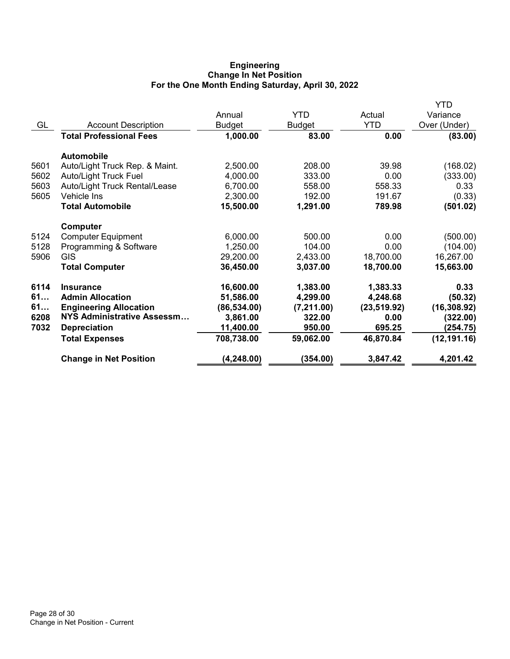## Engineering Change In Net Position For the One Month Ending Saturday, April 30, 2022

|                                   |              |             |              | YTD          |
|-----------------------------------|--------------|-------------|--------------|--------------|
|                                   | Annual       | <b>YTD</b>  | Actual       | Variance     |
| <b>Account Description</b>        | Budget       | Budget      | <b>YTD</b>   | Over (Under) |
| <b>Total Professional Fees</b>    | 1,000.00     | 83.00       | 0.00         | (83.00)      |
| <b>Automobile</b>                 |              |             |              |              |
| Auto/Light Truck Rep. & Maint.    | 2,500.00     | 208.00      | 39.98        | (168.02)     |
| <b>Auto/Light Truck Fuel</b>      | 4,000.00     | 333.00      | 0.00         | (333.00)     |
| Auto/Light Truck Rental/Lease     | 6,700.00     | 558.00      | 558.33       | 0.33         |
| Vehicle Ins                       | 2,300.00     | 192.00      | 191.67       | (0.33)       |
| <b>Total Automobile</b>           | 15,500.00    | 1,291.00    | 789.98       | (501.02)     |
| <b>Computer</b>                   |              |             |              |              |
| <b>Computer Equipment</b>         | 6,000.00     | 500.00      | 0.00         | (500.00)     |
| Programming & Software            | 1,250.00     | 104.00      | 0.00         | (104.00)     |
| <b>GIS</b>                        | 29,200.00    | 2,433.00    | 18,700.00    | 16,267.00    |
| <b>Total Computer</b>             | 36,450.00    | 3,037.00    | 18,700.00    | 15,663.00    |
| <b>Insurance</b>                  | 16,600.00    | 1,383.00    |              | 0.33         |
| <b>Admin Allocation</b>           | 51,586.00    | 4,299.00    | 4,248.68     | (50.32)      |
| <b>Engineering Allocation</b>     | (86, 534.00) | (7, 211.00) | (23, 519.92) | (16, 308.92) |
| <b>NYS Administrative Assessm</b> | 3,861.00     | 322.00      | 0.00         | (322.00)     |
| <b>Depreciation</b>               | 11,400.00    | 950.00      | 695.25       | (254.75)     |
| <b>Total Expenses</b>             | 708,738.00   | 59,062.00   | 46,870.84    | (12, 191.16) |
| <b>Change in Net Position</b>     | (4, 248.00)  | (354.00)    | 3,847.42     | 4,201.42     |
|                                   |              |             |              | 1,383.33     |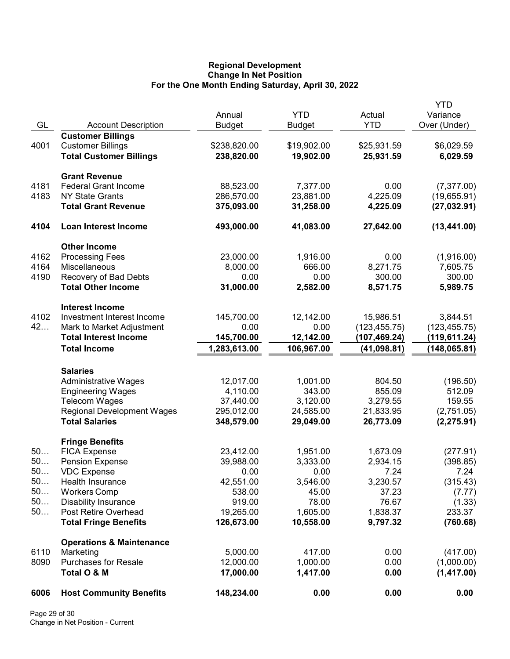## Regional Development Change In Net Position For the One Month Ending Saturday, April 30, 2022

|      |                                                     | Annual                  | <b>YTD</b>            | Actual               | YTD<br>Variance          |
|------|-----------------------------------------------------|-------------------------|-----------------------|----------------------|--------------------------|
| GL   | <b>Account Description</b>                          | <b>Budget</b>           | <b>Budget</b>         | <b>YTD</b>           | Over (Under)             |
|      | <b>Customer Billings</b>                            |                         |                       |                      |                          |
| 4001 | <b>Customer Billings</b>                            | \$238,820.00            | \$19,902.00           | \$25,931.59          | \$6,029.59               |
|      | <b>Total Customer Billings</b>                      | 238,820.00              | 19,902.00             | 25,931.59            | 6,029.59                 |
|      | <b>Grant Revenue</b>                                |                         |                       |                      |                          |
| 4181 | <b>Federal Grant Income</b>                         | 88,523.00               | 7,377.00              | 0.00                 | (7, 377.00)              |
| 4183 | <b>NY State Grants</b>                              | 286,570.00              | 23,881.00             | 4,225.09             | (19,655.91)              |
|      | <b>Total Grant Revenue</b>                          | 375,093.00              | 31,258.00             | 4,225.09             | (27, 032.91)             |
| 4104 | <b>Loan Interest Income</b>                         | 493,000.00              | 41,083.00             | 27,642.00            | (13, 441.00)             |
|      | <b>Other Income</b>                                 |                         |                       |                      |                          |
| 4162 | <b>Processing Fees</b>                              | 23,000.00               | 1,916.00              | 0.00                 | (1,916.00)               |
| 4164 | Miscellaneous                                       | 8,000.00                | 666.00                | 8,271.75             | 7,605.75                 |
| 4190 | Recovery of Bad Debts                               | 0.00                    | 0.00                  | 300.00               | 300.00                   |
|      | <b>Total Other Income</b>                           | 31,000.00               | 2,582.00              | 8,571.75             | 5,989.75                 |
|      | <b>Interest Income</b>                              |                         |                       |                      |                          |
| 4102 | Investment Interest Income                          | 145,700.00              | 12,142.00             | 15,986.51            | 3,844.51                 |
| 42   | Mark to Market Adjustment                           | 0.00                    | 0.00                  | (123, 455.75)        | (123, 455.75)            |
|      | <b>Total Interest Income</b>                        | 145,700.00              | 12,142.00             | (107,469.24)         | (119,611.24)             |
|      | <b>Total Income</b>                                 | 1,283,613.00            | 106,967.00            | (41,098.81)          | (148, 065.81)            |
|      | <b>Salaries</b>                                     |                         |                       |                      |                          |
|      | <b>Administrative Wages</b>                         | 12,017.00               | 1,001.00              | 804.50               | (196.50)                 |
|      | <b>Engineering Wages</b>                            | 4,110.00                | 343.00                | 855.09               | 512.09                   |
|      | <b>Telecom Wages</b>                                | 37,440.00               | 3,120.00              | 3,279.55             | 159.55                   |
|      | <b>Regional Development Wages</b>                   | 295,012.00              | 24,585.00             | 21,833.95            | (2,751.05)               |
|      | <b>Total Salaries</b>                               | 348,579.00              | 29,049.00             | 26,773.09            | (2, 275.91)              |
|      | <b>Fringe Benefits</b>                              |                         |                       |                      |                          |
| 50   | <b>FICA Expense</b>                                 | 23,412.00               | 1,951.00              | 1,673.09             | (277.91)                 |
| 50   | <b>Pension Expense</b>                              | 39,988.00               | 3,333.00              | 2,934.15             | (398.85)                 |
| 50   | <b>VDC Expense</b>                                  | 0.00                    | 0.00                  | 7.24                 | 7.24                     |
| 50   | <b>Health Insurance</b>                             | 42,551.00               | 3,546.00              | 3,230.57             | (315.43)                 |
| 50   | <b>Workers Comp</b>                                 | 538.00                  | 45.00                 | 37.23                | (7.77)                   |
| 50   | <b>Disability Insurance</b><br>Post Retire Overhead | 919.00                  | 78.00                 | 76.67                | (1.33)                   |
| 50   | <b>Total Fringe Benefits</b>                        | 19,265.00<br>126,673.00 | 1,605.00<br>10,558.00 | 1,838.37<br>9,797.32 | 233.37<br>(760.68)       |
|      |                                                     |                         |                       |                      |                          |
|      | <b>Operations &amp; Maintenance</b>                 |                         |                       |                      |                          |
| 6110 | Marketing<br><b>Purchases for Resale</b>            | 5,000.00                | 417.00                | 0.00                 | (417.00)                 |
| 8090 | Total O & M                                         | 12,000.00<br>17,000.00  | 1,000.00<br>1,417.00  | 0.00<br>0.00         | (1,000.00)<br>(1,417.00) |
| 6006 | <b>Host Community Benefits</b>                      | 148,234.00              | 0.00                  | 0.00                 | 0.00                     |
|      |                                                     |                         |                       |                      |                          |